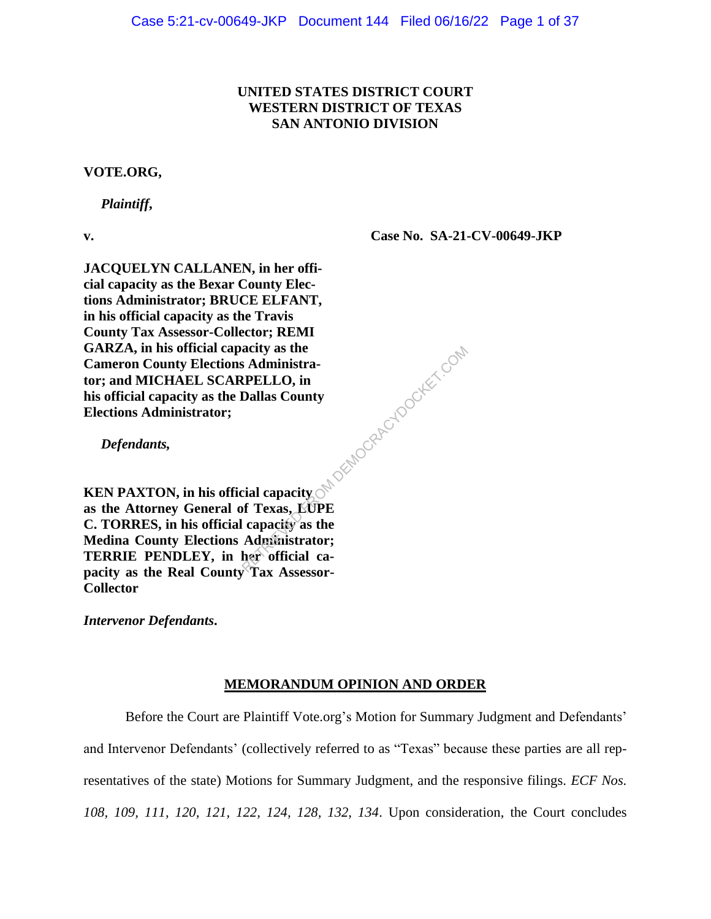# **UNITED STATES DISTRICT COURT WESTERN DISTRICT OF TEXAS SAN ANTONIO DIVISION**

## **VOTE.ORG,**

 *Plaintiff***,** 

**v.**

**Case No. SA-21-CV-00649-JKP**

**JACQUELYN CALLANEN, in her official capacity as the Bexar County Elections Administrator; BRUCE ELFANT, in his official capacity as the Travis County Tax Assessor-Collector; REMI GARZA, in his official capacity as the Cameron County Elections Administrator; and MICHAEL SCARPELLO, in his official capacity as the Dallas County Elections Administrator;**

 *Defendants,*

**KEN PAXTON, in his official capacity as the Attorney General of Texas, LUPE C. TORRES, in his official capacity as the Medina County Elections Administrator; TERRIE PENDLEY, in her official capacity as the Real County Tax Assessor-Collector** acity as the<br>
S Administra-<br>
RPELLO, in<br>
Dallas County<br>
cial capacity<br>
of Texas, EUPE<br>
capacity as the<br>
Administrator;<br>
her official ca-<br>
Tex Assessor

*Intervenor Defendants***.**

# **MEMORANDUM OPINION AND ORDER**

Before the Court are Plaintiff Vote.org's Motion for Summary Judgment and Defendants' and Intervenor Defendants' (collectively referred to as "Texas" because these parties are all representatives of the state) Motions for Summary Judgment, and the responsive filings. *ECF Nos. 108, 109, 111, 120, 121, 122, 124, 128, 132, 134*. Upon consideration, the Court concludes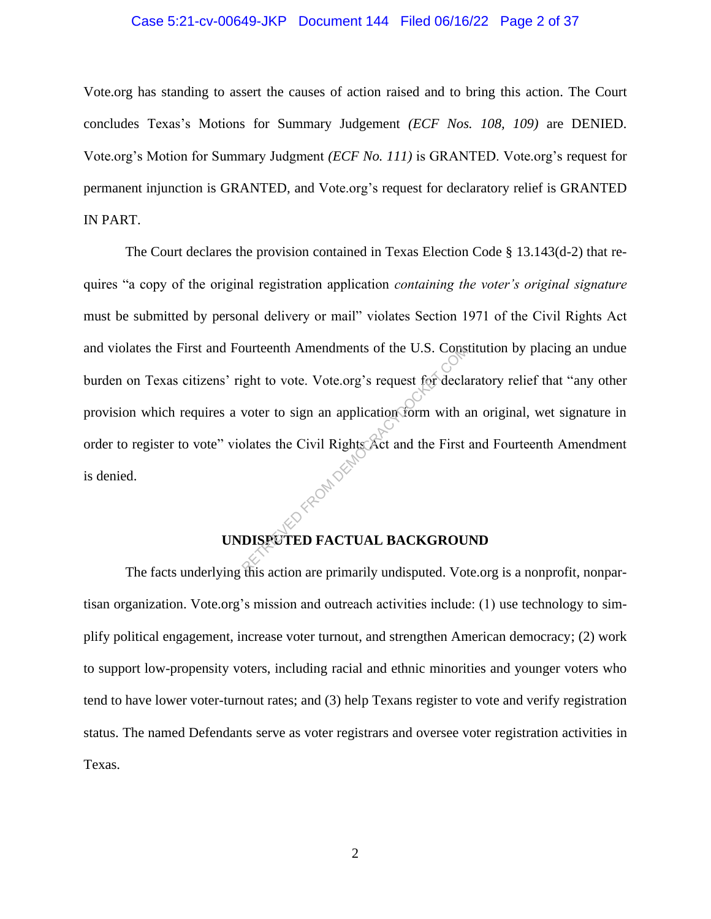# Case 5:21-cv-00649-JKP Document 144 Filed 06/16/22 Page 2 of 37

Vote.org has standing to assert the causes of action raised and to bring this action. The Court concludes Texas's Motions for Summary Judgement *(ECF Nos. 108, 109)* are DENIED. Vote.org's Motion for Summary Judgment *(ECF No. 111)* is GRANTED. Vote.org's request for permanent injunction is GRANTED, and Vote.org's request for declaratory relief is GRANTED IN PART.

The Court declares the provision contained in Texas Election Code § 13.143(d-2) that requires "a copy of the original registration application *containing the voter's original signature*  must be submitted by personal delivery or mail" violates Section 1971 of the Civil Rights Act and violates the First and Fourteenth Amendments of the U.S. Constitution by placing an undue burden on Texas citizens' right to vote. Vote.org's request for declaratory relief that "any other provision which requires a voter to sign an application form with an original, wet signature in order to register to vote" violates the Civil Rights Act and the First and Fourteenth Amendment<br>is denied. is denied. burteenth Amendments of the U.S. Conservation of the U.S. Conservation of the U.S. Conservation of the Civil Rights Act and the First plates the Civil Rights Act and the First position of the Civil Rights Act and the First

# **UNDISPUTED FACTUAL BACKGROUND**

The facts underlying this action are primarily undisputed. Vote.org is a nonprofit, nonpartisan organization. Vote.org's mission and outreach activities include: (1) use technology to simplify political engagement, increase voter turnout, and strengthen American democracy; (2) work to support low-propensity voters, including racial and ethnic minorities and younger voters who tend to have lower voter-turnout rates; and (3) help Texans register to vote and verify registration status. The named Defendants serve as voter registrars and oversee voter registration activities in Texas.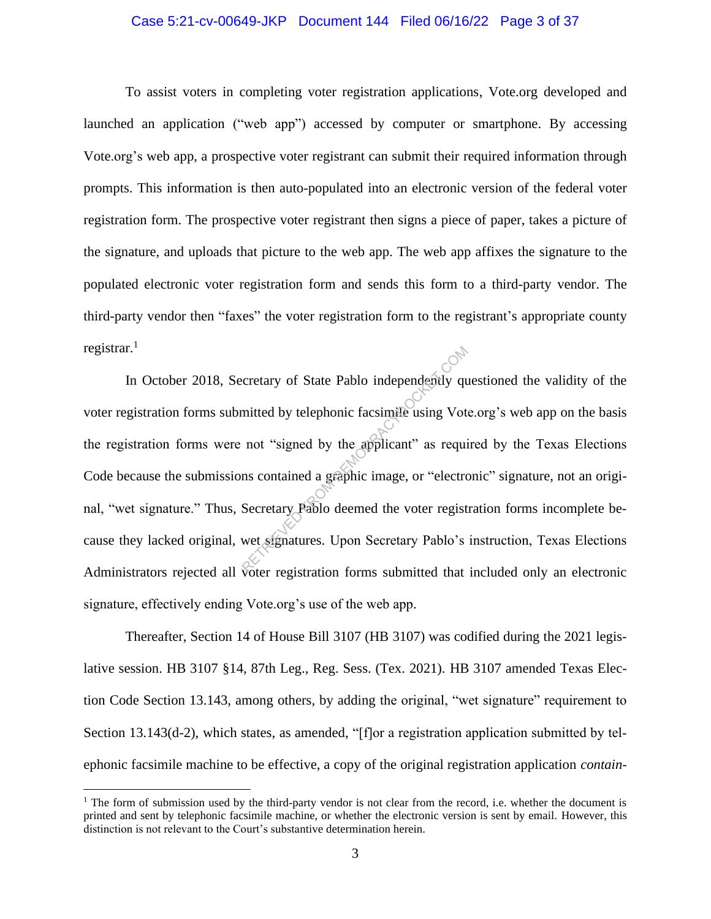# Case 5:21-cv-00649-JKP Document 144 Filed 06/16/22 Page 3 of 37

To assist voters in completing voter registration applications, Vote.org developed and launched an application ("web app") accessed by computer or smartphone. By accessing Vote.org's web app, a prospective voter registrant can submit their required information through prompts. This information is then auto-populated into an electronic version of the federal voter registration form. The prospective voter registrant then signs a piece of paper, takes a picture of the signature, and uploads that picture to the web app. The web app affixes the signature to the populated electronic voter registration form and sends this form to a third-party vendor. The third-party vendor then "faxes" the voter registration form to the registrant's appropriate county registrar. $<sup>1</sup>$ </sup>

In October 2018, Secretary of State Pablo independently questioned the validity of the voter registration forms submitted by telephonic facsimile using Vote.org's web app on the basis the registration forms were not "signed by the applicant" as required by the Texas Elections Code because the submissions contained a graphic image, or "electronic" signature, not an original, "wet signature." Thus, Secretary Pablo deemed the voter registration forms incomplete because they lacked original, wet signatures. Upon Secretary Pablo's instruction, Texas Elections Administrators rejected all voter registration forms submitted that included only an electronic signature, effectively ending Vote.org's use of the web app. Exercity of State Pablo independently quantitied by telephonic facsimile using Vot not "signed by the applicant" as required in the symphonic image, or "electrical Secretary Pablo deemed the voter regist wet signatures. Up

Thereafter, Section 14 of House Bill 3107 (HB 3107) was codified during the 2021 legislative session. HB 3107 §14, 87th Leg., Reg. Sess. (Tex. 2021). HB 3107 amended Texas Election Code Section 13.143, among others, by adding the original, "wet signature" requirement to Section 13.143(d-2), which states, as amended, "[f]or a registration application submitted by telephonic facsimile machine to be effective, a copy of the original registration application *contain-*

 $<sup>1</sup>$  The form of submission used by the third-party vendor is not clear from the record, i.e. whether the document is</sup> printed and sent by telephonic facsimile machine, or whether the electronic version is sent by email. However, this distinction is not relevant to the Court's substantive determination herein.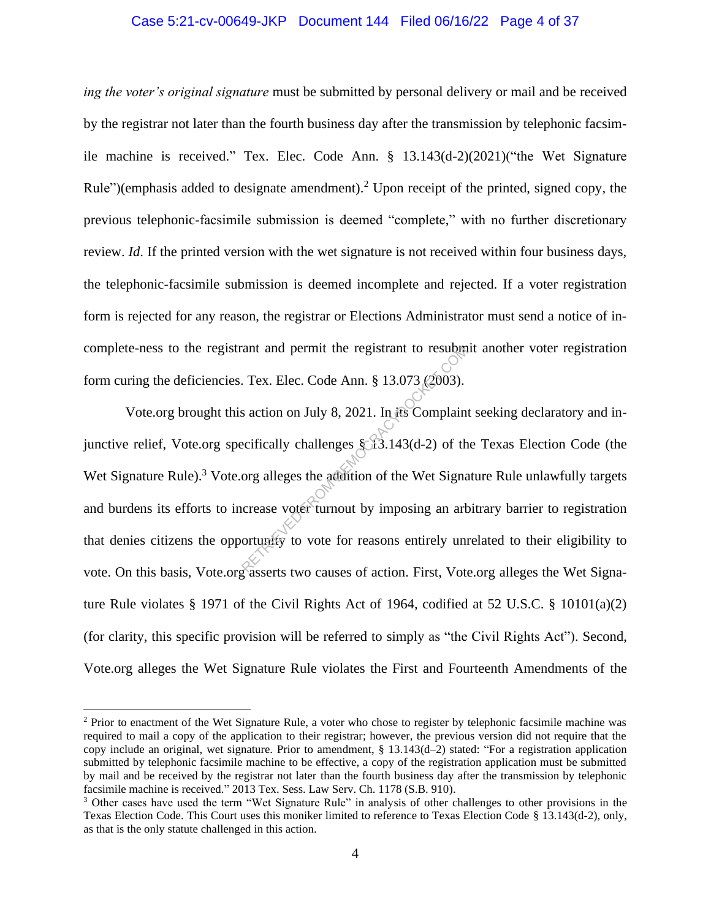# Case 5:21-cv-00649-JKP Document 144 Filed 06/16/22 Page 4 of 37

*ing the voter's original signature* must be submitted by personal delivery or mail and be received by the registrar not later than the fourth business day after the transmission by telephonic facsimile machine is received." Tex. Elec. Code Ann. § 13.143(d-2)(2021)("the Wet Signature Rule")(emphasis added to designate amendment).<sup>2</sup> Upon receipt of the printed, signed copy, the previous telephonic-facsimile submission is deemed "complete," with no further discretionary review. *Id*. If the printed version with the wet signature is not received within four business days, the telephonic-facsimile submission is deemed incomplete and rejected. If a voter registration form is rejected for any reason, the registrar or Elections Administrator must send a notice of incomplete-ness to the registrant and permit the registrant to resubmit another voter registration form curing the deficiencies. Tex. Elec. Code Ann. § 13.073 (2003).

Vote.org brought this action on July 8, 2021. In its Complaint seeking declaratory and injunctive relief, Vote.org specifically challenges § 13.143(d-2) of the Texas Election Code (the Wet Signature Rule).<sup>3</sup> Vote.org alleges the addition of the Wet Signature Rule unlawfully targets and burdens its efforts to increase voter turnout by imposing an arbitrary barrier to registration that denies citizens the opportunity to vote for reasons entirely unrelated to their eligibility to vote. On this basis, Vote.org asserts two causes of action. First, Vote.org alleges the Wet Signature Rule violates § 1971 of the Civil Rights Act of 1964, codified at 52 U.S.C. § 10101(a)(2) (for clarity, this specific provision will be referred to simply as "the Civil Rights Act"). Second, Vote.org alleges the Wet Signature Rule violates the First and Fourteenth Amendments of the ant and permit the registrant to resubing<br>
Tex. Elec. Code Ann. § 13.073 (2003).<br>
Solution on July 8, 2021. In its Complain<br>
ecifically challenges § 13.143(d-2) of the<br>
org alleges the addition of the Wet Signa<br>
crease vot

<sup>&</sup>lt;sup>2</sup> Prior to enactment of the Wet Signature Rule, a voter who chose to register by telephonic facsimile machine was required to mail a copy of the application to their registrar; however, the previous version did not require that the copy include an original, wet signature. Prior to amendment, § 13.143(d–2) stated: "For a registration application submitted by telephonic facsimile machine to be effective, a copy of the registration application must be submitted by mail and be received by the registrar not later than the fourth business day after the transmission by telephonic facsimile machine is received." 2013 Tex. Sess. Law Serv. Ch. 1178 (S.B. 910).

<sup>3</sup> Other cases have used the term "Wet Signature Rule" in analysis of other challenges to other provisions in the Texas Election Code. This Court uses this moniker limited to reference to Texas Election Code § 13.143(d-2), only, as that is the only statute challenged in this action.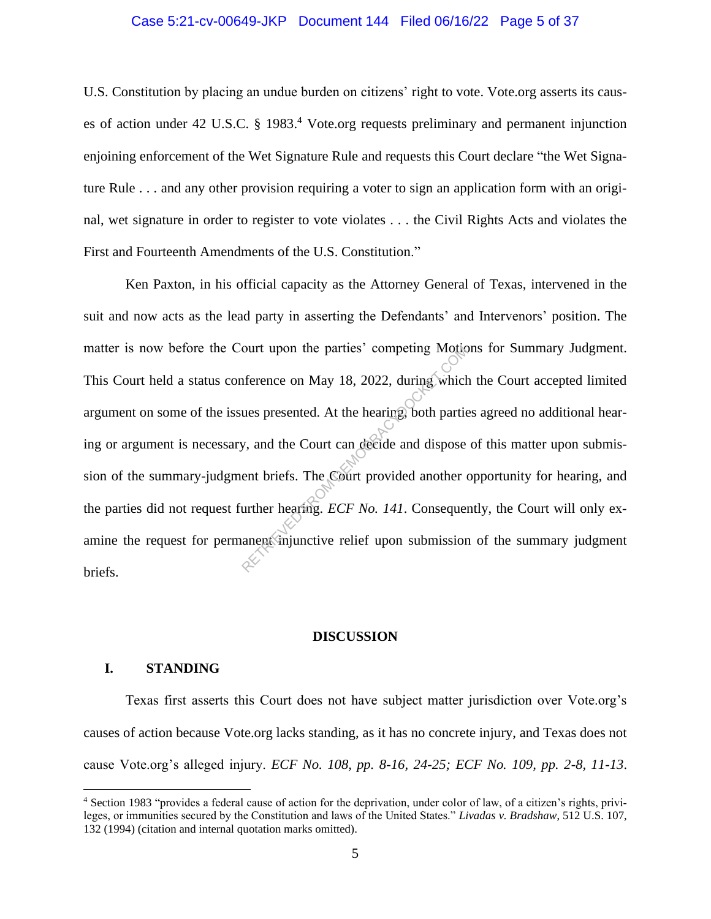## Case 5:21-cv-00649-JKP Document 144 Filed 06/16/22 Page 5 of 37

U.S. Constitution by placing an undue burden on citizens' right to vote. Vote.org asserts its causes of action under 42 U.S.C. § 1983. <sup>4</sup> Vote.org requests preliminary and permanent injunction enjoining enforcement of the Wet Signature Rule and requests this Court declare "the Wet Signature Rule . . . and any other provision requiring a voter to sign an application form with an original, wet signature in order to register to vote violates . . . the Civil Rights Acts and violates the First and Fourteenth Amendments of the U.S. Constitution."

Ken Paxton, in his official capacity as the Attorney General of Texas, intervened in the suit and now acts as the lead party in asserting the Defendants' and Intervenors' position. The matter is now before the Court upon the parties' competing Motions for Summary Judgment. This Court held a status conference on May 18, 2022, during which the Court accepted limited argument on some of the issues presented. At the hearing, both parties agreed no additional hearing or argument is necessary, and the Court can decide and dispose of this matter upon submission of the summary-judgment briefs. The Court provided another opportunity for hearing, and the parties did not request further hearing. *ECF No. 141*. Consequently, the Court will only examine the request for permanent injunctive relief upon submission of the summary judgment briefs. ourt upon the parties' competing Motic<br>
ifference on May 18, 2022, during which<br>
ues presented. At the hearing, both partie<br>
y, and the Court can deede and dispose<br>
ent briefs. The Court provided another<br>
urther hearing.

## **DISCUSSION**

# **I. STANDING**

Texas first asserts this Court does not have subject matter jurisdiction over Vote.org's causes of action because Vote.org lacks standing, as it has no concrete injury, and Texas does not cause Vote.org's alleged injury. *ECF No. 108, pp. 8-16, 24-25; ECF No. 109, pp. 2-8, 11-13*.

<sup>4</sup> Section 1983 "provides a federal cause of action for the deprivation, under color of law, of a citizen's rights, privileges, or immunities secured by the Constitution and laws of the United States." *Livadas v. Bradshaw*, 512 U.S. 107, 132 (1994) (citation and internal quotation marks omitted).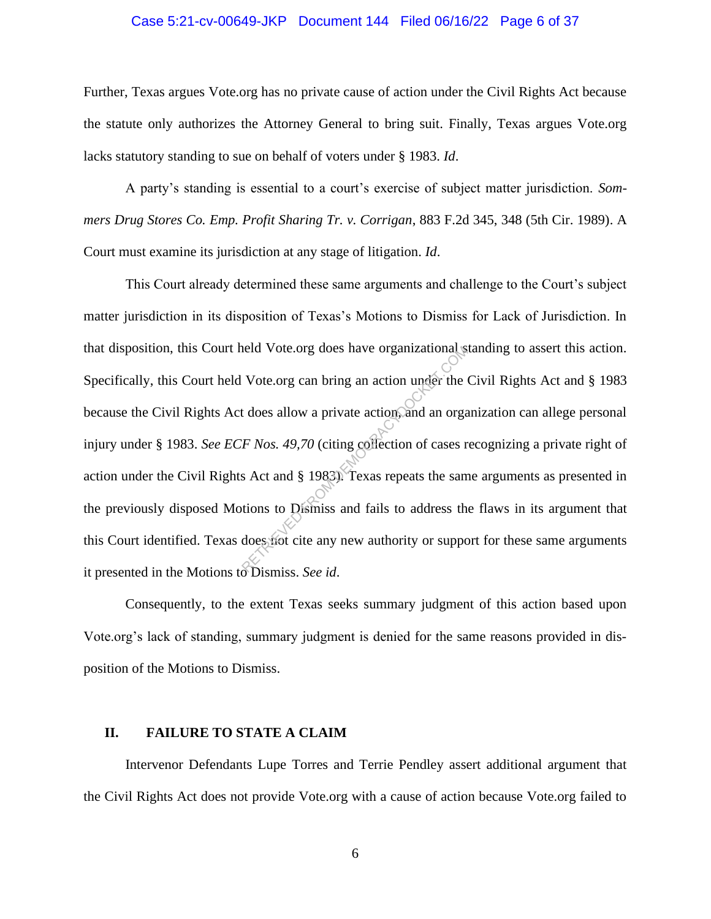## Case 5:21-cv-00649-JKP Document 144 Filed 06/16/22 Page 6 of 37

Further, Texas argues Vote.org has no private cause of action under the Civil Rights Act because the statute only authorizes the Attorney General to bring suit. Finally, Texas argues Vote.org lacks statutory standing to sue on behalf of voters under § 1983. *Id*.

A party's standing is essential to a court's exercise of subject matter jurisdiction. *Sommers Drug Stores Co. Emp. Profit Sharing Tr. v. Corrigan*, 883 F.2d 345, 348 (5th Cir. 1989). A Court must examine its jurisdiction at any stage of litigation. *Id*.

This Court already determined these same arguments and challenge to the Court's subject matter jurisdiction in its disposition of Texas's Motions to Dismiss for Lack of Jurisdiction. In that disposition, this Court held Vote.org does have organizational standing to assert this action. Specifically, this Court held Vote.org can bring an action under the Civil Rights Act and § 1983 because the Civil Rights Act does allow a private action, and an organization can allege personal injury under § 1983. *See ECF Nos. 49,70* (citing collection of cases recognizing a private right of action under the Civil Rights Act and § 1983). Texas repeats the same arguments as presented in the previously disposed Motions to Dismiss and fails to address the flaws in its argument that this Court identified. Texas does not cite any new authority or support for these same arguments it presented in the Motions to Dismiss. *See id*. Note.org does have organizational is<br>Vote.org can bring an action under the<br>t does allow a private action, and an orga<br>F Nos. 49,70 (citing collection of cases r<br>s Act and § 1983). Texas repeats the sam<br>tions to Dismiss an

Consequently, to the extent Texas seeks summary judgment of this action based upon Vote.org's lack of standing, summary judgment is denied for the same reasons provided in disposition of the Motions to Dismiss.

## **II. FAILURE TO STATE A CLAIM**

Intervenor Defendants Lupe Torres and Terrie Pendley assert additional argument that the Civil Rights Act does not provide Vote.org with a cause of action because Vote.org failed to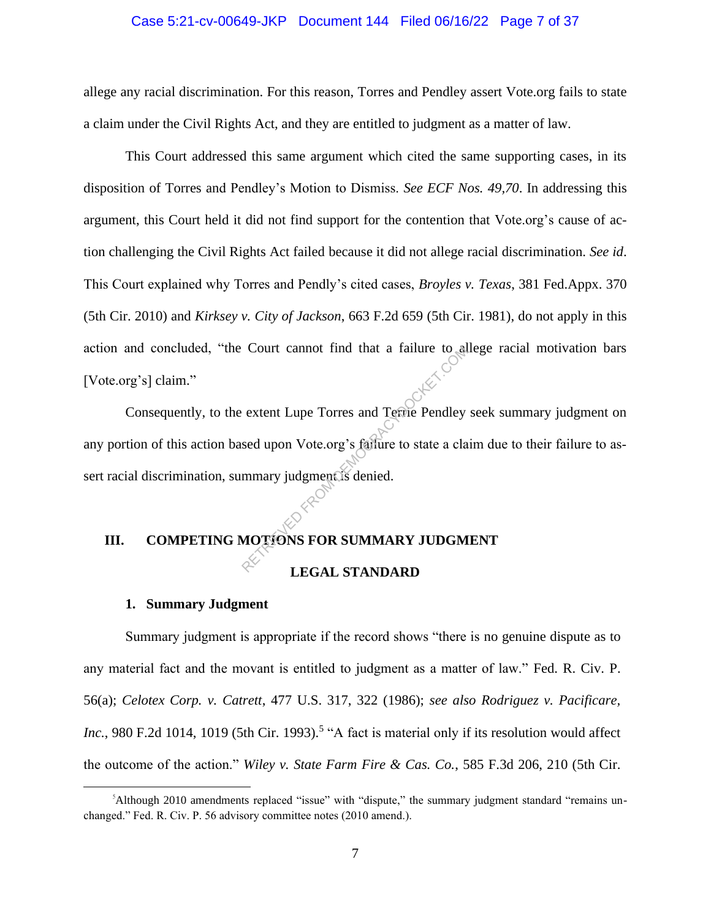## Case 5:21-cv-00649-JKP Document 144 Filed 06/16/22 Page 7 of 37

allege any racial discrimination. For this reason, Torres and Pendley assert Vote.org fails to state a claim under the Civil Rights Act, and they are entitled to judgment as a matter of law.

This Court addressed this same argument which cited the same supporting cases, in its disposition of Torres and Pendley's Motion to Dismiss. *See ECF Nos. 49,70*. In addressing this argument, this Court held it did not find support for the contention that Vote.org's cause of action challenging the Civil Rights Act failed because it did not allege racial discrimination. *See id*. This Court explained why Torres and Pendly's cited cases, *Broyles v. Texas*, 381 Fed.Appx. 370 (5th Cir. 2010) and *Kirksey v. City of Jackson*, 663 F.2d 659 (5th Cir. 1981), do not apply in this action and concluded, "the Court cannot find that a failure to allege racial motivation bars [Vote.org's] claim."

Consequently, to the extent Lupe Torres and Terrie Pendley seek summary judgment on any portion of this action based upon Vote.org's failure to state a claim due to their failure to assert racial discrimination, summary judgment is denied. Court cannot find that a failure to all<br>extent Lupe Torres and Terrie Pendley<br>sed upon Vote.org's failure to state a cla<br>mmary judgment.is denied.<br>MOTIONS FOR SUMMARY JUDGM

# **III. COMPETING MOTIONS FOR SUMMARY JUDGMENT**

# **LEGAL STANDARD**

# **1. Summary Judgment**

Summary judgment is appropriate if the record shows "there is no genuine dispute as to any material fact and the movant is entitled to judgment as a matter of law." Fed. R. Civ. P. 56(a); *Celotex Corp. v. Catrett*, 477 U.S. 317, 322 (1986); *see also Rodriguez v. Pacificare,*  Inc., 980 F.2d 1014, 1019 (5th Cir. 1993).<sup>5</sup> "A fact is material only if its resolution would affect the outcome of the action." *Wiley v. State Farm Fire & Cas. Co.*, 585 F.3d 206, 210 (5th Cir.

<sup>5</sup>Although 2010 amendments replaced "issue" with "dispute," the summary judgment standard "remains unchanged." Fed. R. Civ. P. 56 advisory committee notes (2010 amend.).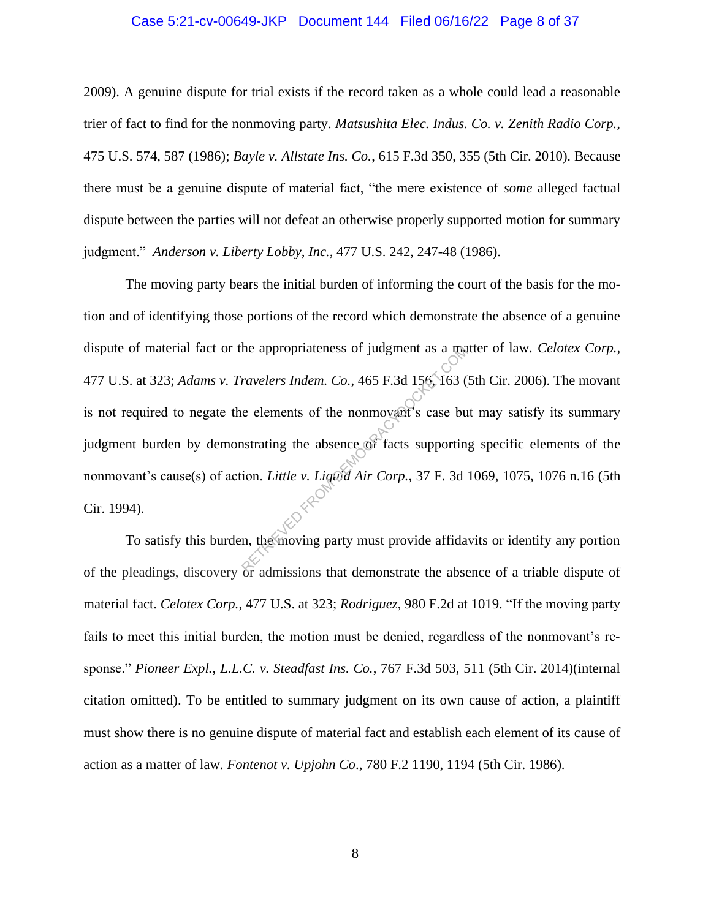## Case 5:21-cv-00649-JKP Document 144 Filed 06/16/22 Page 8 of 37

2009). A genuine dispute for trial exists if the record taken as a whole could lead a reasonable trier of fact to find for the nonmoving party. *Matsushita Elec. Indus. Co. v. Zenith Radio Corp.,* 475 U.S. 574, 587 (1986); *Bayle v. Allstate Ins. Co.*, 615 F.3d 350, 355 (5th Cir. 2010). Because there must be a genuine dispute of material fact, "the mere existence of *some* alleged factual dispute between the parties will not defeat an otherwise properly supported motion for summary judgment." *Anderson v. Liberty Lobby*, *Inc.*, 477 U.S. 242, 247-48 (1986).

The moving party bears the initial burden of informing the court of the basis for the motion and of identifying those portions of the record which demonstrate the absence of a genuine dispute of material fact or the appropriateness of judgment as a matter of law. *Celotex Corp.,* 477 U.S. at 323; *Adams v. Travelers Indem. Co.*, 465 F.3d 156, 163 (5th Cir. 2006). The movant is not required to negate the elements of the nonmovant's case but may satisfy its summary judgment burden by demonstrating the absence of facts supporting specific elements of the nonmovant's cause(s) of action. *Little v. Liquid Air Corp.*, 37 F. 3d 1069, 1075, 1076 n.16 (5th Cir. 1994). the appropriateness of judgment as a matrice of the nonmovant s case but<br>ravelers Indem. Co., 465 F.3d 156, 163 (<br>e elements of the nonmovant s case but<br>strating the absence of facts supportin<br>ion. Little v. Liquid Air Cor

To satisfy this burden, the moving party must provide affidavits or identify any portion of the pleadings, discovery or admissions that demonstrate the absence of a triable dispute of material fact. *Celotex Corp.*, 477 U.S. at 323; *Rodriguez*, 980 F.2d at 1019. "If the moving party fails to meet this initial burden, the motion must be denied, regardless of the nonmovant's response." *Pioneer Expl., L.L.C. v. Steadfast Ins. Co.*, 767 F.3d 503, 511 (5th Cir. 2014)(internal citation omitted). To be entitled to summary judgment on its own cause of action, a plaintiff must show there is no genuine dispute of material fact and establish each element of its cause of action as a matter of law. *Fontenot v. Upjohn Co*., 780 F.2 1190, 1194 (5th Cir. 1986).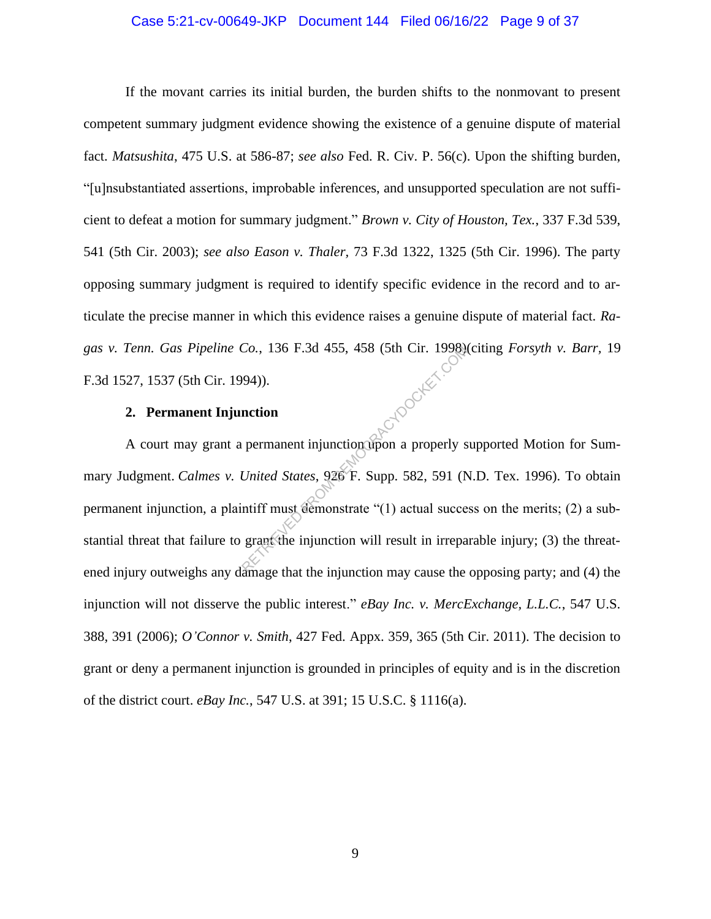# Case 5:21-cv-00649-JKP Document 144 Filed 06/16/22 Page 9 of 37

If the movant carries its initial burden, the burden shifts to the nonmovant to present competent summary judgment evidence showing the existence of a genuine dispute of material fact. *Matsushita*, 475 U.S. at 586-87; *see also* Fed. R. Civ. P. 56(c). Upon the shifting burden, "[u]nsubstantiated assertions, improbable inferences, and unsupported speculation are not sufficient to defeat a motion for summary judgment." *Brown v. City of Houston, Tex.*, 337 F.3d 539, 541 (5th Cir. 2003); *see also Eason v. Thaler,* 73 F.3d 1322, 1325 (5th Cir. 1996). The party opposing summary judgment is required to identify specific evidence in the record and to articulate the precise manner in which this evidence raises a genuine dispute of material fact. *Ragas v. Tenn. Gas Pipeline Co.*, 136 F.3d 455, 458 (5th Cir. 1998)(citing *Forsyth v. Barr,* 19 F.3d 1527, 1537 (5th Cir. 1994)). Trocket cc

# **2. Permanent Injunction**

A court may grant a permanent injunction upon a properly supported Motion for Summary Judgment. *Calmes v. United States*, 926 F. Supp. 582, 591 (N.D. Tex. 1996). To obtain permanent injunction, a plaintiff must demonstrate "(1) actual success on the merits; (2) a substantial threat that failure to grant the injunction will result in irreparable injury; (3) the threatened injury outweighs any damage that the injunction may cause the opposing party; and (4) the injunction will not disserve the public interest." *eBay Inc. v. MercExchange, L.L.C.*, 547 U.S. 388, 391 (2006); *O'Connor v. Smith*, 427 Fed. Appx. 359, 365 (5th Cir. 2011). The decision to grant or deny a permanent injunction is grounded in principles of equity and is in the discretion of the district court. *eBay Inc.*, 547 U.S. at 391; 15 U.S.C. § 1116(a).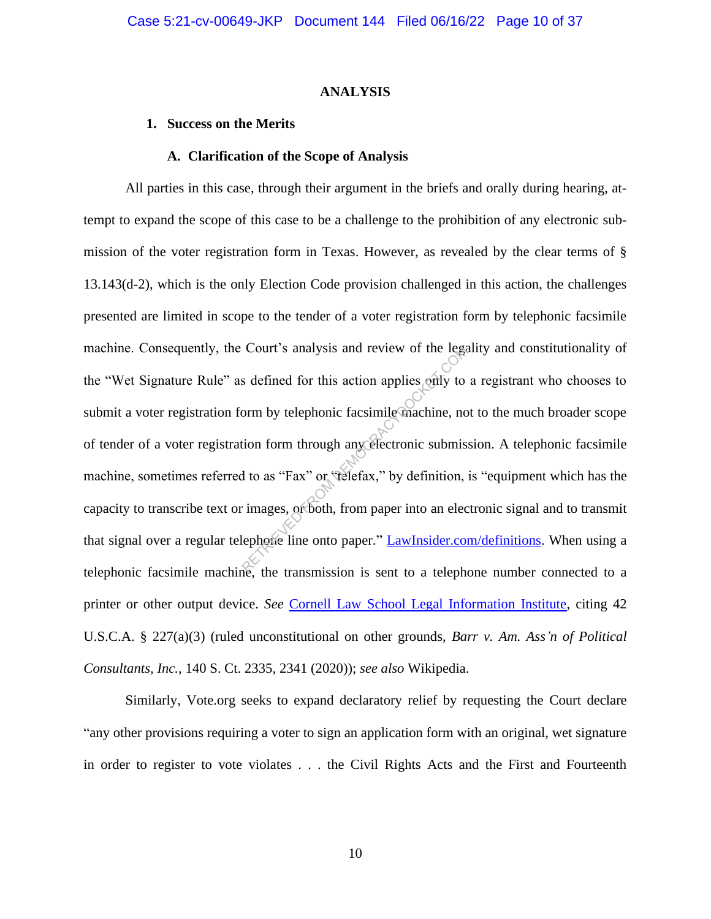#### **ANALYSIS**

## **1. Success on the Merits**

#### **A. Clarification of the Scope of Analysis**

All parties in this case, through their argument in the briefs and orally during hearing, attempt to expand the scope of this case to be a challenge to the prohibition of any electronic submission of the voter registration form in Texas. However, as revealed by the clear terms of § 13.143(d-2), which is the only Election Code provision challenged in this action, the challenges presented are limited in scope to the tender of a voter registration form by telephonic facsimile machine. Consequently, the Court's analysis and review of the legality and constitutionality of the "Wet Signature Rule" as defined for this action applies only to a registrant who chooses to submit a voter registration form by telephonic facsimile machine, not to the much broader scope of tender of a voter registration form through any electronic submission. A telephonic facsimile machine, sometimes referred to as "Fax" or "telefax," by definition, is "equipment which has the capacity to transcribe text or images, or both, from paper into an electronic signal and to transmit that signal over a regular telephone line onto paper." LawInsider.com/definitions. When using a telephonic facsimile machine, the transmission is sent to a telephone number connected to a printer or other output device. *See* Cornell Law School Legal Information Institute, citing 42 U.S.C.A. § 227(a)(3) (ruled unconstitutional on other grounds, *Barr v. Am. Ass'n of Political Consultants, Inc.*, 140 S. Ct. 2335, 2341 (2020)); *see also* Wikipedia. Court's analysis and review of the legalents<br>Solution for this action applies only to<br>orm by telephonic facsimile machine, no<br>tion form through any electronic submiss<br>of to as "Fax" or "telefax," by definition,<br>images, or

Similarly, Vote.org seeks to expand declaratory relief by requesting the Court declare "any other provisions requiring a voter to sign an application form with an original, wet signature in order to register to vote violates . . . the Civil Rights Acts and the First and Fourteenth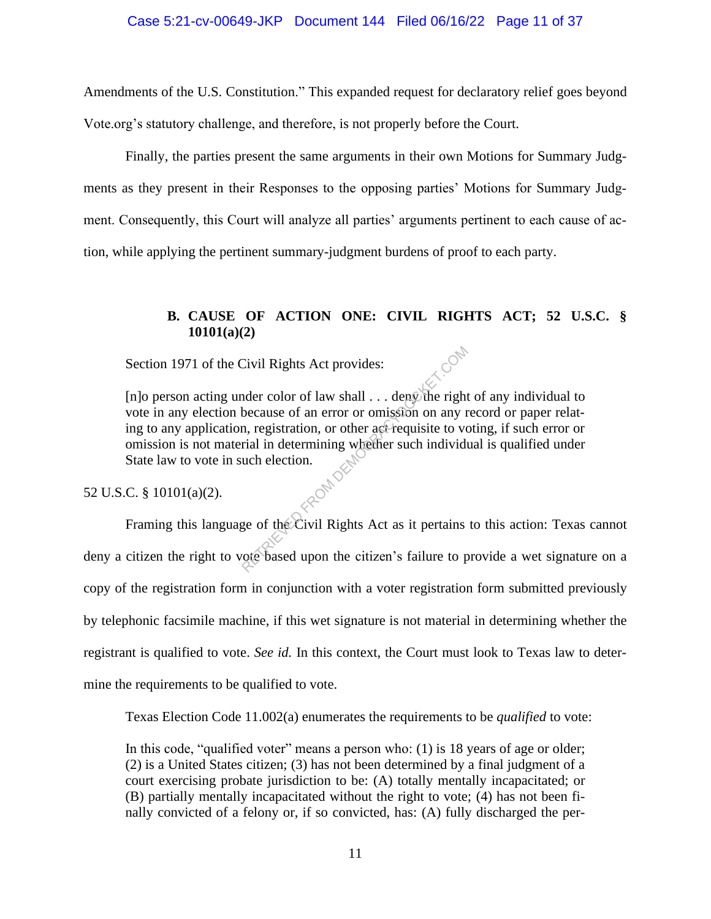Amendments of the U.S. Constitution." This expanded request for declaratory relief goes beyond Vote.org's statutory challenge, and therefore, is not properly before the Court.

Finally, the parties present the same arguments in their own Motions for Summary Judgments as they present in their Responses to the opposing parties' Motions for Summary Judgment. Consequently, this Court will analyze all parties' arguments pertinent to each cause of action, while applying the pertinent summary-judgment burdens of proof to each party.

# **B. CAUSE OF ACTION ONE: CIVIL RIGHTS ACT; 52 U.S.C. § 10101(a)(2)**

Section 1971 of the Civil Rights Act provides:

[n]o person acting under color of law shall . . . deny the right of any individual to vote in any election because of an error or omission on any record or paper relating to any application, registration, or other act requisite to voting, if such error or omission is not material in determining whether such individual is qualified under State law to vote in such election.<br>C. § 10101(a)(2). Civil Rights Act provides:<br>
nder color of law shall . . . dengothe right<br>
because of an error or omission on any r<br>
n, registration, or other act-requisite to vo<br>
rial in determining whether such individuals<br>
uch election.

52 U.S.C. § 10101(a)(2).

Framing this language of the Civil Rights Act as it pertains to this action: Texas cannot deny a citizen the right to vote based upon the citizen's failure to provide a wet signature on a copy of the registration form in conjunction with a voter registration form submitted previously by telephonic facsimile machine, if this wet signature is not material in determining whether the registrant is qualified to vote. *See id.* In this context, the Court must look to Texas law to determine the requirements to be qualified to vote.

Texas Election Code 11.002(a) enumerates the requirements to be *qualified* to vote:

In this code, "qualified voter" means a person who: (1) is 18 years of age or older; (2) is a United States citizen; (3) has not been determined by a final judgment of a court exercising probate jurisdiction to be: (A) totally mentally incapacitated; or (B) partially mentally incapacitated without the right to vote; (4) has not been finally convicted of a felony or, if so convicted, has: (A) fully discharged the per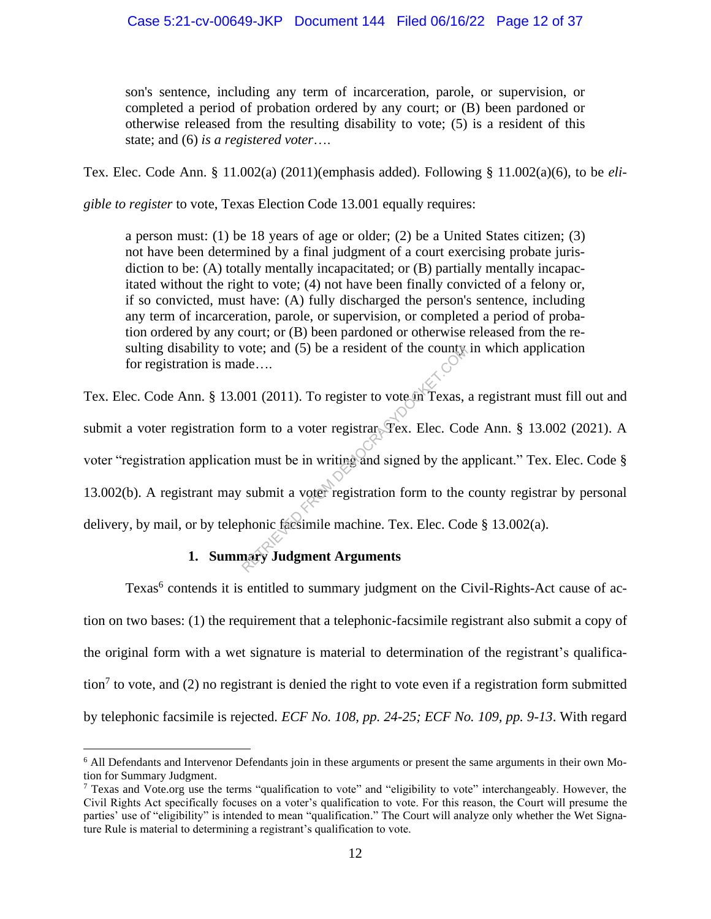son's sentence, including any term of incarceration, parole, or supervision, or completed a period of probation ordered by any court; or (B) been pardoned or otherwise released from the resulting disability to vote; (5) is a resident of this state; and (6) *is a registered voter*….

Tex. Elec. Code Ann. § 11.002(a) (2011)(emphasis added). Following § 11.002(a)(6), to be *eli-*

*gible to register* to vote, Texas Election Code 13.001 equally requires:

a person must: (1) be 18 years of age or older; (2) be a United States citizen; (3) not have been determined by a final judgment of a court exercising probate jurisdiction to be: (A) totally mentally incapacitated; or (B) partially mentally incapacitated without the right to vote; (4) not have been finally convicted of a felony or, if so convicted, must have: (A) fully discharged the person's sentence, including any term of incarceration, parole, or supervision, or completed a period of probation ordered by any court; or (B) been pardoned or otherwise released from the resulting disability to vote; and  $(5)$  be a resident of the county in which application for registration is made….

Tex. Elec. Code Ann. § 13.001 (2011). To register to vote in Texas, a registrant must fill out and submit a voter registration form to a voter registrar. Tex. Elec. Code Ann. § 13.002 (2021). A voter "registration application must be in writing and signed by the applicant." Tex. Elec. Code § 13.002(b). A registrant may submit a voter registration form to the county registrar by personal delivery, by mail, or by telephonic facsimile machine. Tex. Elec. Code § 13.002(a). vote; and (5) be a resident of the county<br>de....<br>001 (2011). To register to vote in Texas,<br>form to a voter registrar Tex. Elec. Coo<br>on must be in writing and signed by the a<br>submit a voter registration form to the<br>phonic f

# **1. Summary Judgment Arguments**

Texas<sup>6</sup> contends it is entitled to summary judgment on the Civil-Rights-Act cause of action on two bases: (1) the requirement that a telephonic-facsimile registrant also submit a copy of the original form with a wet signature is material to determination of the registrant's qualification<sup>7</sup> to vote, and (2) no registrant is denied the right to vote even if a registration form submitted by telephonic facsimile is rejected. *ECF No. 108, pp. 24-25; ECF No. 109, pp. 9-13*. With regard

<sup>&</sup>lt;sup>6</sup> All Defendants and Intervenor Defendants join in these arguments or present the same arguments in their own Motion for Summary Judgment.

 $<sup>7</sup>$  Texas and Vote.org use the terms "qualification to vote" and "eligibility to vote" interchangeably. However, the</sup> Civil Rights Act specifically focuses on a voter's qualification to vote. For this reason, the Court will presume the parties' use of "eligibility" is intended to mean "qualification." The Court will analyze only whether the Wet Signature Rule is material to determining a registrant's qualification to vote.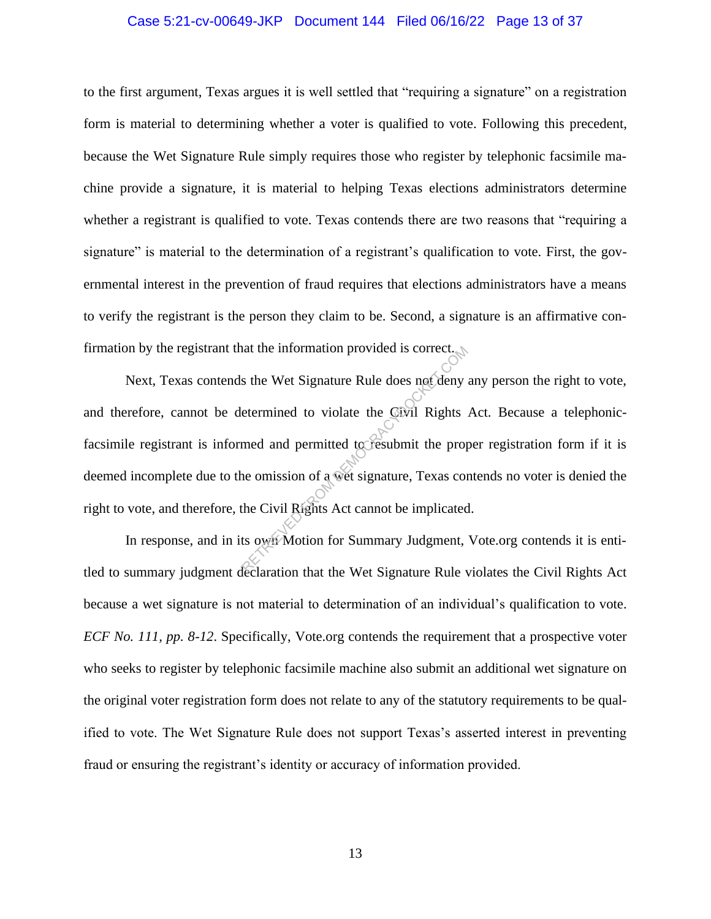## Case 5:21-cv-00649-JKP Document 144 Filed 06/16/22 Page 13 of 37

to the first argument, Texas argues it is well settled that "requiring a signature" on a registration form is material to determining whether a voter is qualified to vote. Following this precedent, because the Wet Signature Rule simply requires those who register by telephonic facsimile machine provide a signature, it is material to helping Texas elections administrators determine whether a registrant is qualified to vote. Texas contends there are two reasons that "requiring a signature" is material to the determination of a registrant's qualification to vote. First, the governmental interest in the prevention of fraud requires that elections administrators have a means to verify the registrant is the person they claim to be. Second, a signature is an affirmative confirmation by the registrant that the information provided is correct.

Next, Texas contends the Wet Signature Rule does not deny any person the right to vote, and therefore, cannot be determined to violate the Civil Rights Act. Because a telephonicfacsimile registrant is informed and permitted to resubmit the proper registration form if it is deemed incomplete due to the omission of a wet signature, Texas contends no voter is denied the right to vote, and therefore, the Civil Rights Act cannot be implicated. at the information provided is correct.<br>
s the Wet Signature Rule does not deny<br>
etermined to violate the Civil Rights<br>
med and permitted to resubmit the prop<br>
ne omission of a wet signature, Texas con<br>
the Civil Rights Ac

In response, and in its own Motion for Summary Judgment, Vote.org contends it is entitled to summary judgment declaration that the Wet Signature Rule violates the Civil Rights Act because a wet signature is not material to determination of an individual's qualification to vote. *ECF No. 111, pp. 8-12*. Specifically, Vote.org contends the requirement that a prospective voter who seeks to register by telephonic facsimile machine also submit an additional wet signature on the original voter registration form does not relate to any of the statutory requirements to be qualified to vote. The Wet Signature Rule does not support Texas's asserted interest in preventing fraud or ensuring the registrant's identity or accuracy of information provided.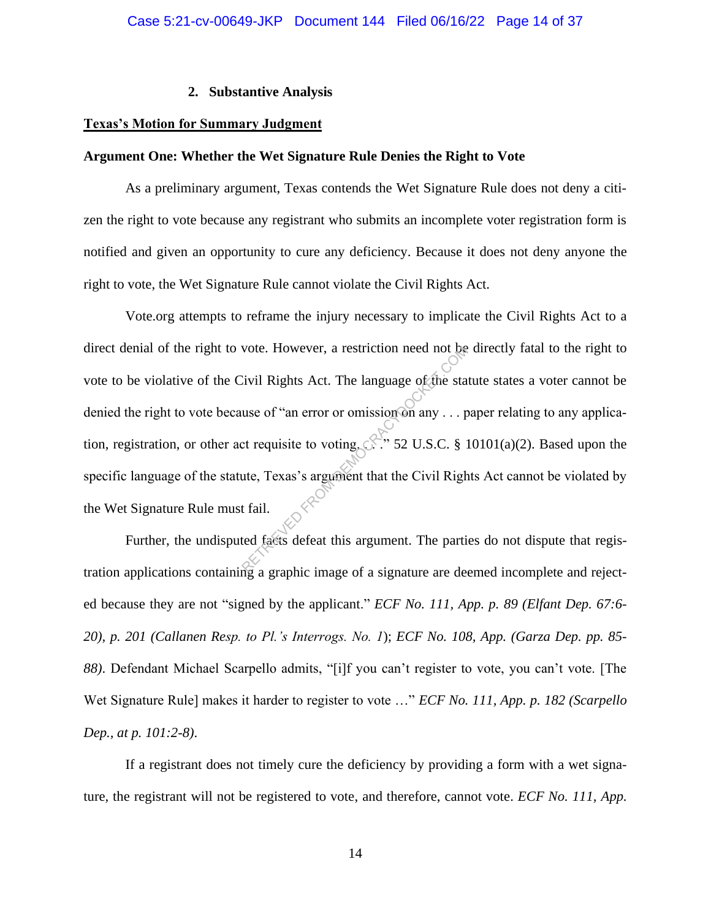## **2. Substantive Analysis**

# **Texas's Motion for Summary Judgment**

## **Argument One: Whether the Wet Signature Rule Denies the Right to Vote**

As a preliminary argument, Texas contends the Wet Signature Rule does not deny a citizen the right to vote because any registrant who submits an incomplete voter registration form is notified and given an opportunity to cure any deficiency. Because it does not deny anyone the right to vote, the Wet Signature Rule cannot violate the Civil Rights Act.

Vote.org attempts to reframe the injury necessary to implicate the Civil Rights Act to a direct denial of the right to vote. However, a restriction need not be directly fatal to the right to vote to be violative of the Civil Rights Act. The language of the statute states a voter cannot be denied the right to vote because of "an error or omission on any . . . paper relating to any application, registration, or other act requisite to voting.  $\mathbb{R}^3$  52 U.S.C. § 10101(a)(2). Based upon the specific language of the statute, Texas's argument that the Civil Rights Act cannot be violated by the Wet Signature Rule must fail. RETRIEVED FROM DEMOCRACYDOCKET.COM

Further, the undisputed facts defeat this argument. The parties do not dispute that registration applications containing a graphic image of a signature are deemed incomplete and rejected because they are not "signed by the applicant." *ECF No. 111, App. p. 89 (Elfant Dep. 67:6- 20), p. 201 (Callanen Resp. to Pl.'s Interrogs. No. 1*); *ECF No. 108, App. (Garza Dep. pp. 85- 88)*. Defendant Michael Scarpello admits, "[i]f you can't register to vote, you can't vote. [The Wet Signature Rule] makes it harder to register to vote …" *ECF No. 111, App. p. 182 (Scarpello Dep., at p. 101:2-8)*.

If a registrant does not timely cure the deficiency by providing a form with a wet signature, the registrant will not be registered to vote, and therefore, cannot vote. *ECF No. 111, App.*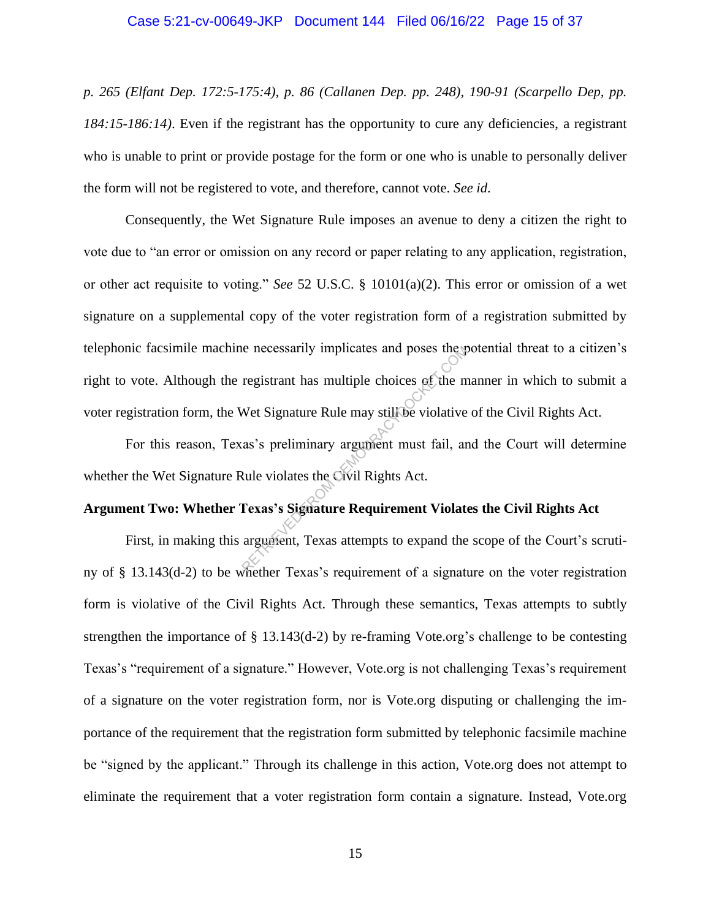## Case 5:21-cv-00649-JKP Document 144 Filed 06/16/22 Page 15 of 37

*p. 265 (Elfant Dep. 172:5-175:4), p. 86 (Callanen Dep. pp. 248), 190-91 (Scarpello Dep, pp. 184:15-186:14)*. Even if the registrant has the opportunity to cure any deficiencies, a registrant who is unable to print or provide postage for the form or one who is unable to personally deliver the form will not be registered to vote, and therefore, cannot vote. *See id*.

Consequently, the Wet Signature Rule imposes an avenue to deny a citizen the right to vote due to "an error or omission on any record or paper relating to any application, registration, or other act requisite to voting." *See* 52 U.S.C. § 10101(a)(2). This error or omission of a wet signature on a supplemental copy of the voter registration form of a registration submitted by telephonic facsimile machine necessarily implicates and poses the potential threat to a citizen's right to vote. Although the registrant has multiple choices of the manner in which to submit a voter registration form, the Wet Signature Rule may still be violative of the Civil Rights Act. registrant has multiple choices of the m<br>registrant has multiple choices of the m<br>Wet Signature Rule may still be violative<br>as's preliminary argument must fail, ar<br>Rule violates the Civil Rights Act.<br>Texas's Signature Requ

For this reason, Texas's preliminary argument must fail, and the Court will determine whether the Wet Signature Rule violates the Civil Rights Act.

# **Argument Two: Whether Texas's Signature Requirement Violates the Civil Rights Act**

First, in making this argument, Texas attempts to expand the scope of the Court's scrutiny of § 13.143(d-2) to be whether Texas's requirement of a signature on the voter registration form is violative of the Civil Rights Act. Through these semantics, Texas attempts to subtly strengthen the importance of § 13.143(d-2) by re-framing Vote.org's challenge to be contesting Texas's "requirement of a signature." However, Vote.org is not challenging Texas's requirement of a signature on the voter registration form, nor is Vote.org disputing or challenging the importance of the requirement that the registration form submitted by telephonic facsimile machine be "signed by the applicant." Through its challenge in this action, Vote.org does not attempt to eliminate the requirement that a voter registration form contain a signature. Instead, Vote.org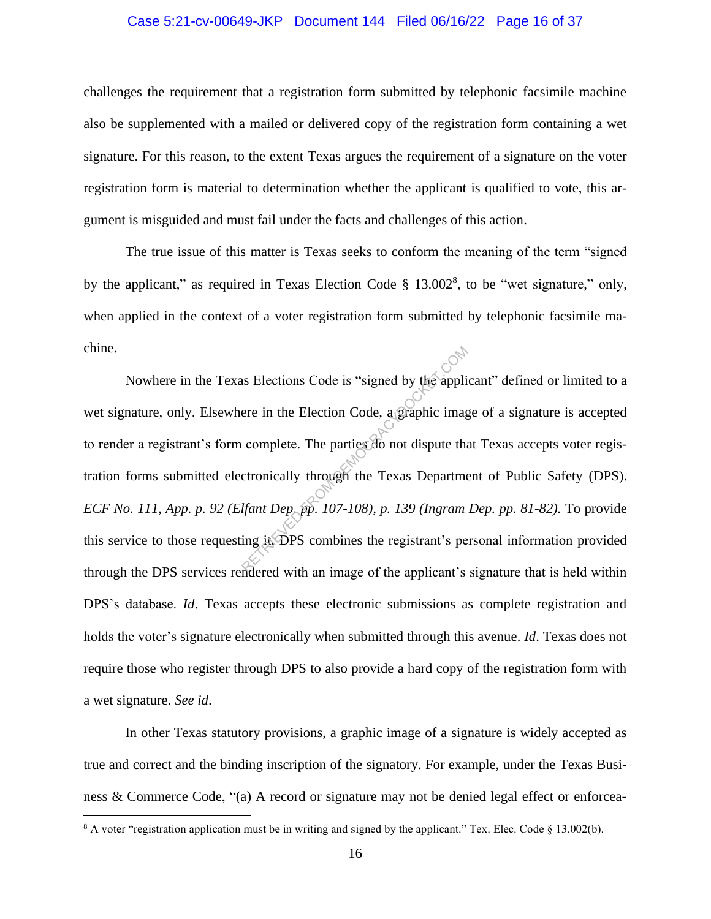# Case 5:21-cv-00649-JKP Document 144 Filed 06/16/22 Page 16 of 37

challenges the requirement that a registration form submitted by telephonic facsimile machine also be supplemented with a mailed or delivered copy of the registration form containing a wet signature. For this reason, to the extent Texas argues the requirement of a signature on the voter registration form is material to determination whether the applicant is qualified to vote, this argument is misguided and must fail under the facts and challenges of this action.

The true issue of this matter is Texas seeks to conform the meaning of the term "signed by the applicant," as required in Texas Election Code § 13.002<sup>8</sup>, to be "wet signature," only, when applied in the context of a voter registration form submitted by telephonic facsimile machine.

Nowhere in the Texas Elections Code is "signed by the applicant" defined or limited to a wet signature, only. Elsewhere in the Election Code, a graphic image of a signature is accepted to render a registrant's form complete. The parties do not dispute that Texas accepts voter registration forms submitted electronically through the Texas Department of Public Safety (DPS). *ECF No. 111, App. p. 92 (Elfant Dep. pp. 107-108), p. 139 (Ingram Dep. pp. 81-82).* To provide this service to those requesting it, DPS combines the registrant's personal information provided through the DPS services rendered with an image of the applicant's signature that is held within DPS's database. *Id*. Texas accepts these electronic submissions as complete registration and holds the voter's signature electronically when submitted through this avenue. *Id*. Texas does not require those who register through DPS to also provide a hard copy of the registration form with a wet signature. *See id*. As Elections Code is "signed by the applicent are in the Election Code, a graphic image complete. The parties do not dispute the complete. The parties do not dispute the complete the complete of the complete of the applic

In other Texas statutory provisions, a graphic image of a signature is widely accepted as true and correct and the binding inscription of the signatory. For example, under the Texas Business & Commerce Code, "(a) A record or signature may not be denied legal effect or enforcea-

<sup>8</sup> A voter "registration application must be in writing and signed by the applicant." Tex. Elec. Code § 13.002(b).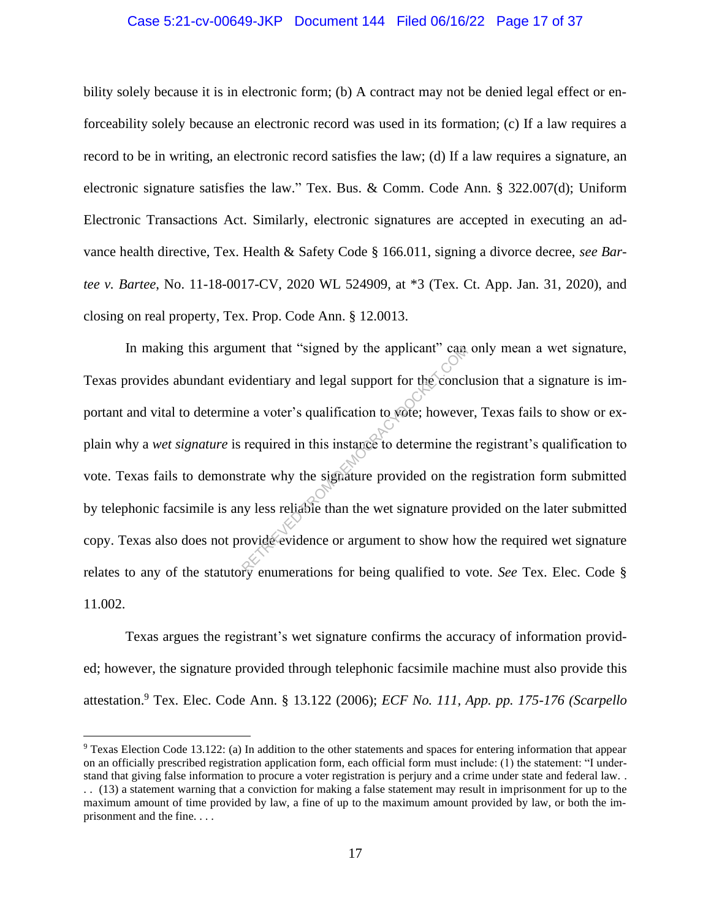# Case 5:21-cv-00649-JKP Document 144 Filed 06/16/22 Page 17 of 37

bility solely because it is in electronic form; (b) A contract may not be denied legal effect or enforceability solely because an electronic record was used in its formation; (c) If a law requires a record to be in writing, an electronic record satisfies the law; (d) If a law requires a signature, an electronic signature satisfies the law." Tex. Bus. & Comm. Code Ann. § 322.007(d); Uniform Electronic Transactions Act. Similarly, electronic signatures are accepted in executing an advance health directive, Tex. Health & Safety Code § 166.011, signing a divorce decree, *see Bartee v. Bartee*, No. 11-18-0017-CV, 2020 WL 524909, at \*3 (Tex. Ct. App. Jan. 31, 2020), and closing on real property, Tex. Prop. Code Ann. § 12.0013.

In making this argument that "signed by the applicant" can only mean a wet signature, Texas provides abundant evidentiary and legal support for the conclusion that a signature is important and vital to determine a voter's qualification to vote; however, Texas fails to show or explain why a *wet signature* is required in this instance to determine the registrant's qualification to vote. Texas fails to demonstrate why the signature provided on the registration form submitted by telephonic facsimile is any less reliable than the wet signature provided on the later submitted copy. Texas also does not provide evidence or argument to show how the required wet signature relates to any of the statutory enumerations for being qualified to vote. *See* Tex. Elec. Code § 11.002. ment that "signed by the applicant" can<br>identiary and legal support for the concl<br>is equired in this instance to determine the<br>trate why the signature provided on the<br>trate why the signature provided on the<br>investigate tha

Texas argues the registrant's wet signature confirms the accuracy of information provided; however, the signature provided through telephonic facsimile machine must also provide this attestation. <sup>9</sup> Tex. Elec. Code Ann. § 13.122 (2006); *ECF No. 111, App. pp. 175-176 (Scarpello* 

<sup>9</sup> Texas Election Code 13.122: (a) In addition to the other statements and spaces for entering information that appear on an officially prescribed registration application form, each official form must include: (1) the statement: "I understand that giving false information to procure a voter registration is perjury and a crime under state and federal law. . . . (13) a statement warning that a conviction for making a false statement may result in imprisonment for up to the maximum amount of time provided by law, a fine of up to the maximum amount provided by law, or both the imprisonment and the fine. . . .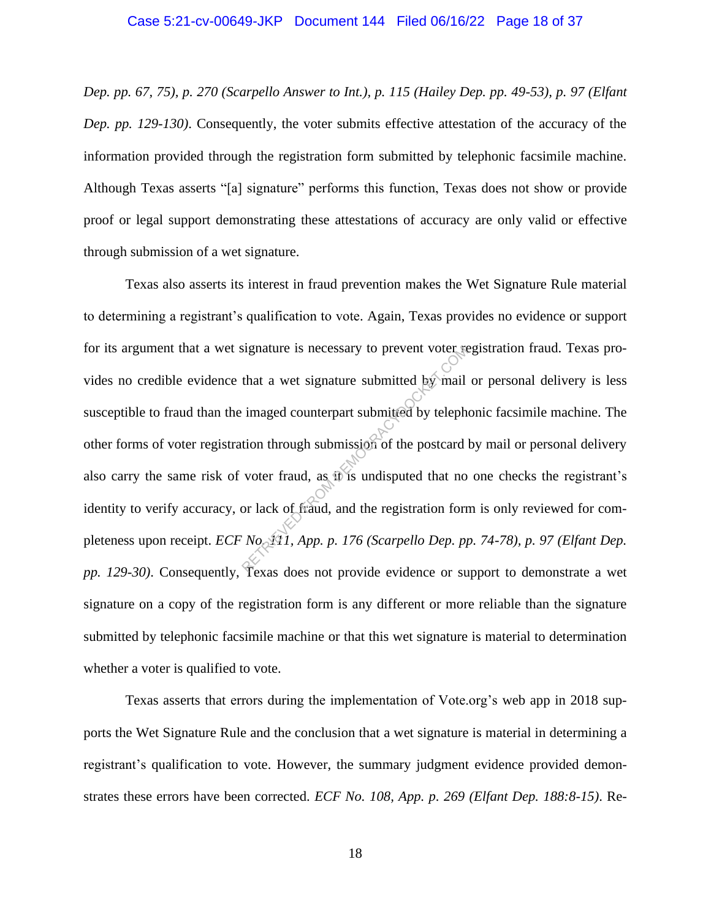*Dep. pp. 67, 75), p. 270 (Scarpello Answer to Int.), p. 115 (Hailey Dep. pp. 49-53), p. 97 (Elfant Dep. pp. 129-130)*. Consequently, the voter submits effective attestation of the accuracy of the information provided through the registration form submitted by telephonic facsimile machine. Although Texas asserts "[a] signature" performs this function, Texas does not show or provide proof or legal support demonstrating these attestations of accuracy are only valid or effective through submission of a wet signature.

Texas also asserts its interest in fraud prevention makes the Wet Signature Rule material to determining a registrant's qualification to vote. Again, Texas provides no evidence or support for its argument that a wet signature is necessary to prevent voter registration fraud. Texas provides no credible evidence that a wet signature submitted by mail or personal delivery is less susceptible to fraud than the imaged counterpart submitted by telephonic facsimile machine. The other forms of voter registration through submission of the postcard by mail or personal delivery also carry the same risk of voter fraud, as it is undisputed that no one checks the registrant's identity to verify accuracy, or lack of fraud, and the registration form is only reviewed for completeness upon receipt. *ECF No. 11, App. p. 176 (Scarpello Dep. pp. 74-78), p. 97 (Elfant Dep. pp. 129-30)*. Consequently, Texas does not provide evidence or support to demonstrate a wet signature on a copy of the registration form is any different or more reliable than the signature submitted by telephonic facsimile machine or that this wet signature is material to determination whether a voter is qualified to vote. Expective is necessary to prevent voter reduced that a wet signature submitted by mail<br>imaged counterpart submitted by teleph<br>tion through submission of the postcard<br>voter fraud, as it is undisputed that no<br>or lack of fra

Texas asserts that errors during the implementation of Vote.org's web app in 2018 supports the Wet Signature Rule and the conclusion that a wet signature is material in determining a registrant's qualification to vote. However, the summary judgment evidence provided demonstrates these errors have been corrected. *ECF No. 108, App. p. 269 (Elfant Dep. 188:8-15)*. Re-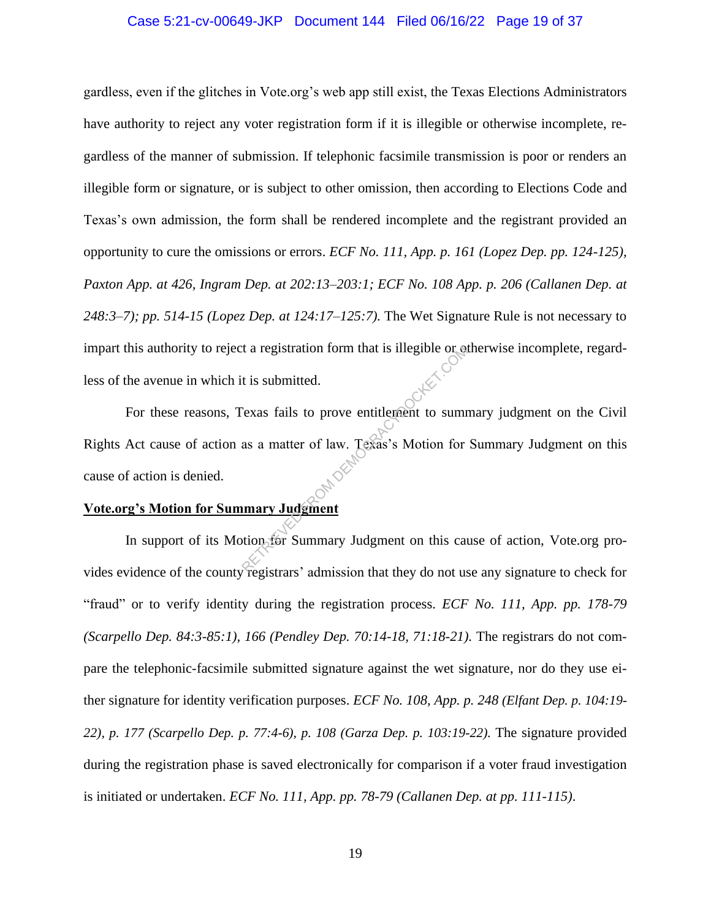## Case 5:21-cv-00649-JKP Document 144 Filed 06/16/22 Page 19 of 37

gardless, even if the glitches in Vote.org's web app still exist, the Texas Elections Administrators have authority to reject any voter registration form if it is illegible or otherwise incomplete, regardless of the manner of submission. If telephonic facsimile transmission is poor or renders an illegible form or signature, or is subject to other omission, then according to Elections Code and Texas's own admission, the form shall be rendered incomplete and the registrant provided an opportunity to cure the omissions or errors. *ECF No. 111, App. p. 161 (Lopez Dep. pp. 124-125), Paxton App. at 426, Ingram Dep. at 202:13–203:1; ECF No. 108 App. p. 206 (Callanen Dep. at 248:3–7); pp. 514-15 (Lopez Dep. at 124:17–125:7).* The Wet Signature Rule is not necessary to impart this authority to reject a registration form that is illegible or otherwise incomplete, regardless of the avenue in which it is submitted.

For these reasons, Texas fails to prove entitlement to summary judgment on the Civil Rights Act cause of action as a matter of law. Texas's Motion for Summary Judgment on this cause of action is denied. Exas fails to prove entitlement to sum<br>as a matter of law. Texas's Motion for<br>as a matter of law. Texas's Motion for<br>as a matter of law. Texas's Motion for<br>and the Motion for Summary Judgment on this can<br>argument the Motio

# **Vote.org's Motion for Summary Judgment**

In support of its Motion for Summary Judgment on this cause of action, Vote.org provides evidence of the county registrars' admission that they do not use any signature to check for "fraud" or to verify identity during the registration process. *ECF No. 111, App. pp. 178-79 (Scarpello Dep. 84:3-85:1), 166 (Pendley Dep. 70:14-18, 71:18-21).* The registrars do not compare the telephonic-facsimile submitted signature against the wet signature, nor do they use either signature for identity verification purposes. *ECF No. 108, App. p. 248 (Elfant Dep. p. 104:19- 22), p. 177 (Scarpello Dep. p. 77:4-6), p. 108 (Garza Dep. p. 103:19-22).* The signature provided during the registration phase is saved electronically for comparison if a voter fraud investigation is initiated or undertaken. *ECF No. 111, App. pp. 78-79 (Callanen Dep. at pp. 111-115)*.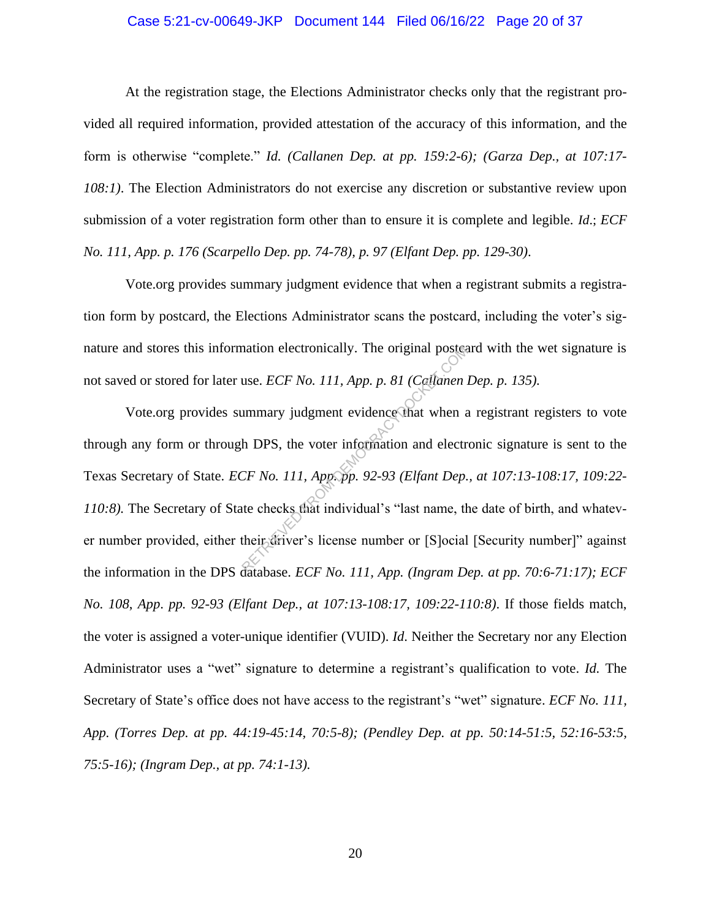## Case 5:21-cv-00649-JKP Document 144 Filed 06/16/22 Page 20 of 37

At the registration stage, the Elections Administrator checks only that the registrant provided all required information, provided attestation of the accuracy of this information, and the form is otherwise "complete." *Id. (Callanen Dep. at pp. 159:2-6); (Garza Dep., at 107:17- 108:1)*. The Election Administrators do not exercise any discretion or substantive review upon submission of a voter registration form other than to ensure it is complete and legible. *Id*.; *ECF No. 111, App. p. 176 (Scarpello Dep. pp. 74-78), p. 97 (Elfant Dep. pp. 129-30)*.

Vote.org provides summary judgment evidence that when a registrant submits a registration form by postcard, the Elections Administrator scans the postcard, including the voter's signature and stores this information electronically. The original postcard with the wet signature is not saved or stored for later use. *ECF No. 111, App. p. 81 (Callanen Dep. p. 135).*

Vote.org provides summary judgment evidence that when a registrant registers to vote through any form or through DPS, the voter information and electronic signature is sent to the Texas Secretary of State. *ECF No. 111, App. pp. 92-93 (Elfant Dep., at 107:13-108:17, 109:22- 110:8).* The Secretary of State checks that individual's "last name, the date of birth, and whatever number provided, either their driver's license number or [S]ocial [Security number]" against the information in the DPS database. *ECF No. 111, App. (Ingram Dep. at pp. 70:6-71:17); ECF No. 108*, *App*. *pp. 92-93 (Elfant Dep., at 107:13-108:17, 109:22-110:8)*. If those fields match, the voter is assigned a voter-unique identifier (VUID). *Id*. Neither the Secretary nor any Election Administrator uses a "wet" signature to determine a registrant's qualification to vote. *Id.* The Secretary of State's office does not have access to the registrant's "wet" signature. *ECF No. 111, App. (Torres Dep. at pp. 44:19-45:14, 70:5-8); (Pendley Dep. at pp. 50:14-51:5, 52:16-53:5, 75:5-16); (Ingram Dep., at pp. 74:1-13).*  mation electronically. The original postes<br>use. *ECF No. 111, App. p. 81 (Callanen .*<br>ummary judgment evidence that when a<br>h DPS, the voter information and electr<br>*CF No. 111, App. pp. 92-93 (Elfant Dep.*<br>te checks that in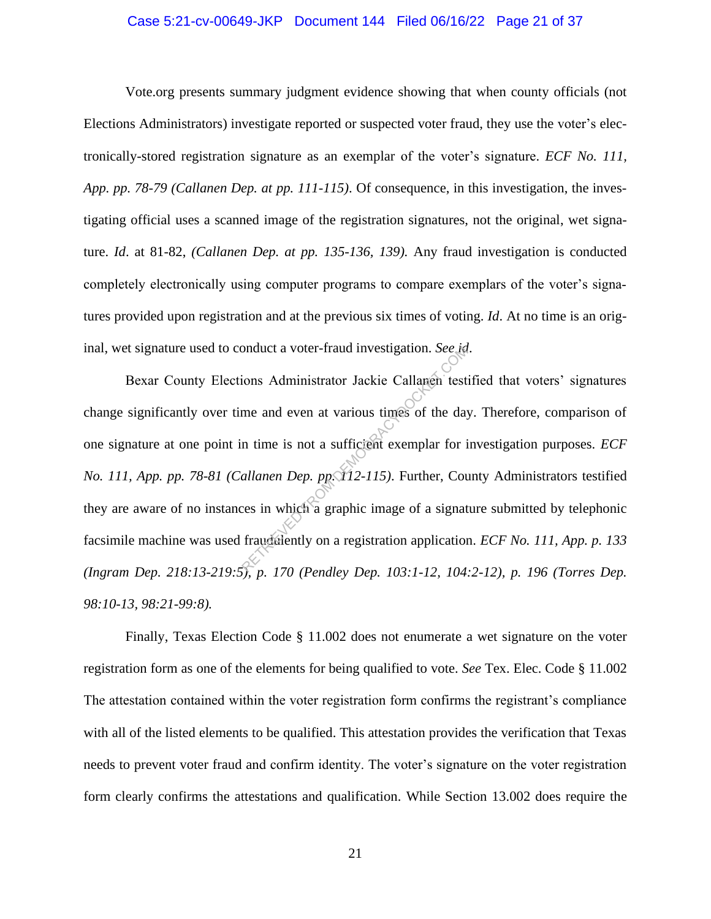## Case 5:21-cv-00649-JKP Document 144 Filed 06/16/22 Page 21 of 37

Vote.org presents summary judgment evidence showing that when county officials (not Elections Administrators) investigate reported or suspected voter fraud, they use the voter's electronically-stored registration signature as an exemplar of the voter's signature. *ECF No. 111, App. pp. 78-79 (Callanen Dep. at pp. 111-115)*. Of consequence, in this investigation, the investigating official uses a scanned image of the registration signatures, not the original, wet signature. *Id*. at 81-82, *(Callanen Dep. at pp. 135-136, 139).* Any fraud investigation is conducted completely electronically using computer programs to compare exemplars of the voter's signatures provided upon registration and at the previous six times of voting. *Id*. At no time is an original, wet signature used to conduct a voter-fraud investigation. *See id*.

Bexar County Elections Administrator Jackie Callanen testified that voters' signatures change significantly over time and even at various times of the day. Therefore, comparison of one signature at one point in time is not a sufficient exemplar for investigation purposes. *ECF No. 111, App. pp. 78-81 (Callanen Dep. pp. 112-115)*. Further, County Administrators testified they are aware of no instances in which a graphic image of a signature submitted by telephonic facsimile machine was used fraudulently on a registration application. *ECF No. 111, App. p. 133 (Ingram Dep. 218:13-219:5), p. 170 (Pendley Dep. 103:1-12, 104:2-12), p. 196 (Torres Dep. 98:10-13, 98:21-99:8).*  bonduct a voter-fraud investigation. See red<br>ions Administrator Jackie Callanen test<br>me and even at various times of the day<br>in time is not a sufficient exemplar for i<br>allanen Dep. pp. 12-115). Further, Cou<br>ces in which a

Finally, Texas Election Code § 11.002 does not enumerate a wet signature on the voter registration form as one of the elements for being qualified to vote. *See* Tex. Elec. Code § 11.002 The attestation contained within the voter registration form confirms the registrant's compliance with all of the listed elements to be qualified. This attestation provides the verification that Texas needs to prevent voter fraud and confirm identity. The voter's signature on the voter registration form clearly confirms the attestations and qualification. While Section 13.002 does require the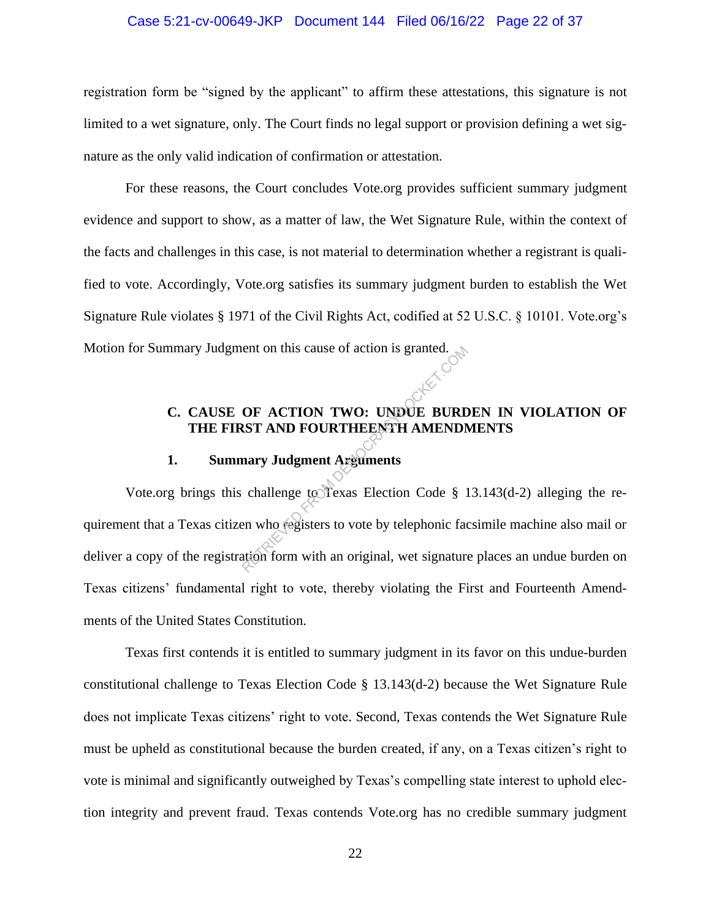## Case 5:21-cv-00649-JKP Document 144 Filed 06/16/22 Page 22 of 37

registration form be "signed by the applicant" to affirm these attestations, this signature is not limited to a wet signature, only. The Court finds no legal support or provision defining a wet signature as the only valid indication of confirmation or attestation.

For these reasons, the Court concludes Vote.org provides sufficient summary judgment evidence and support to show, as a matter of law, the Wet Signature Rule, within the context of the facts and challenges in this case, is not material to determination whether a registrant is qualified to vote. Accordingly, Vote.org satisfies its summary judgment burden to establish the Wet Signature Rule violates § 1971 of the Civil Rights Act, codified at 52 U.S.C. § 10101. Vote.org's Motion for Summary Judgment on this cause of action is granted.

# **C. CAUSE OF ACTION TWO: UNDUE BURDEN IN VIOLATION OF THE FIRST AND FOURTHEENTH AMENDMENTS**

# **1. Summary Judgment Arguments**

Vote.org brings this challenge to Texas Election Code § 13.143(d-2) alleging the requirement that a Texas citizen who registers to vote by telephonic facsimile machine also mail or deliver a copy of the registration form with an original, wet signature places an undue burden on Texas citizens' fundamental right to vote, thereby violating the First and Fourteenth Amendments of the United States Constitution. The State of action is granted.<br>
OF ACTION TWO: UNDUE BURD<br>
ST AND FOURTHEENTH AMENDM<br>
Mary Judgment Arguments<br>
challenge to Texas Election Code § 1<br>
en who registers to vote by telephonic faction<br>
form with an original, w

Texas first contends it is entitled to summary judgment in its favor on this undue-burden constitutional challenge to Texas Election Code § 13.143(d-2) because the Wet Signature Rule does not implicate Texas citizens' right to vote. Second, Texas contends the Wet Signature Rule must be upheld as constitutional because the burden created, if any, on a Texas citizen's right to vote is minimal and significantly outweighed by Texas's compelling state interest to uphold election integrity and prevent fraud. Texas contends Vote.org has no credible summary judgment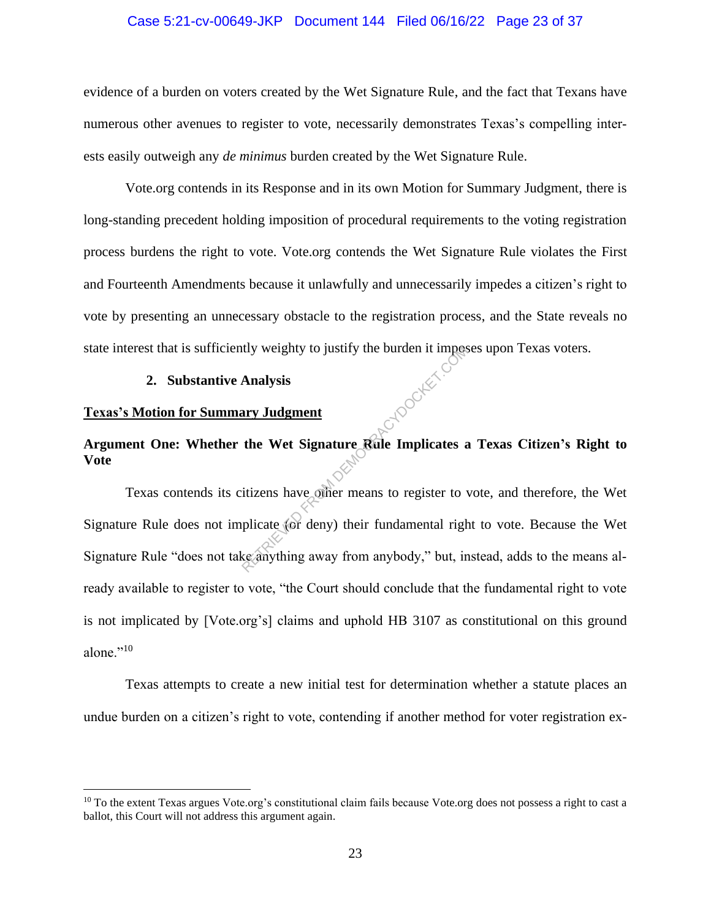## Case 5:21-cv-00649-JKP Document 144 Filed 06/16/22 Page 23 of 37

evidence of a burden on voters created by the Wet Signature Rule, and the fact that Texans have numerous other avenues to register to vote, necessarily demonstrates Texas's compelling interests easily outweigh any *de minimus* burden created by the Wet Signature Rule.

Vote.org contends in its Response and in its own Motion for Summary Judgment, there is long-standing precedent holding imposition of procedural requirements to the voting registration process burdens the right to vote. Vote.org contends the Wet Signature Rule violates the First and Fourteenth Amendments because it unlawfully and unnecessarily impedes a citizen's right to vote by presenting an unnecessary obstacle to the registration process, and the State reveals no state interest that is sufficiently weighty to justify the burden it imposes upon Texas voters.

## **2. Substantive Analysis**

## **Texas's Motion for Summary Judgment**

# **Argument One: Whether the Wet Signature Rule Implicates a Texas Citizen's Right to Vote**

Texas contends its citizens have other means to register to vote, and therefore, the Wet Signature Rule does not implicate (or deny) their fundamental right to vote. Because the Wet Signature Rule "does not take anything away from anybody," but, instead, adds to the means already available to register to vote, "the Court should conclude that the fundamental right to vote is not implicated by [Vote.org's] claims and uphold HB 3107 as constitutional on this ground alone."<sup>10</sup> The Western State of the Western State of the Western State of the Western State of the Western State of the Western Control of the Minister of the plicate (or deny) their fundamental right computer which we can be seen to

Texas attempts to create a new initial test for determination whether a statute places an undue burden on a citizen's right to vote, contending if another method for voter registration ex-

 $10$  To the extent Texas argues Vote.org's constitutional claim fails because Vote.org does not possess a right to cast a ballot, this Court will not address this argument again.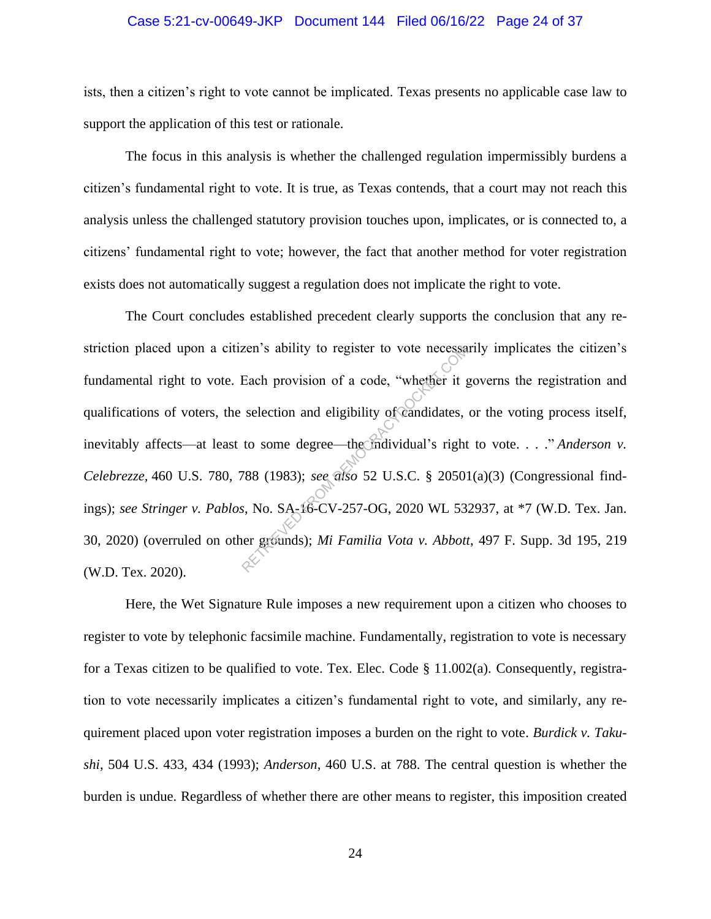## Case 5:21-cv-00649-JKP Document 144 Filed 06/16/22 Page 24 of 37

ists, then a citizen's right to vote cannot be implicated. Texas presents no applicable case law to support the application of this test or rationale.

The focus in this analysis is whether the challenged regulation impermissibly burdens a citizen's fundamental right to vote. It is true, as Texas contends, that a court may not reach this analysis unless the challenged statutory provision touches upon, implicates, or is connected to, a citizens' fundamental right to vote; however, the fact that another method for voter registration exists does not automatically suggest a regulation does not implicate the right to vote.

The Court concludes established precedent clearly supports the conclusion that any restriction placed upon a citizen's ability to register to vote necessarily implicates the citizen's fundamental right to vote. Each provision of a code, "whether it governs the registration and qualifications of voters, the selection and eligibility of candidates, or the voting process itself, inevitably affects—at least to some degree—the individual's right to vote. . . ." *Anderson v*. *Celebrezze,* 460 U.S. 780, 788 (1983); *see also* 52 U.S.C. § 20501(a)(3) (Congressional findings); *see Stringer v. Pablos*, No. SA-16-CV-257-OG, 2020 WL 532937, at \*7 (W.D. Tex. Jan. 30, 2020) (overruled on other grounds); *Mi Familia Vota v. Abbott*, 497 F. Supp. 3d 195, 219 (W.D. Tex. 2020). Each provision of a code, "whether it g<br>
selection and eligibility of Candidates,<br>
to some degree—the Individual's right<br>
788 (1983); *see also* 52 U.S.C. § 2050<br> *S.* No. SA-16-CV-257-OG, 2020 WL 53<br>
er grounds); *Mi Fami* 

Here, the Wet Signature Rule imposes a new requirement upon a citizen who chooses to register to vote by telephonic facsimile machine. Fundamentally, registration to vote is necessary for a Texas citizen to be qualified to vote. Tex. Elec. Code  $\S$  11.002(a). Consequently, registration to vote necessarily implicates a citizen's fundamental right to vote, and similarly, any requirement placed upon voter registration imposes a burden on the right to vote. *Burdick v. Takushi*, 504 U.S. 433, 434 (1993); *Anderson*, 460 U.S. at 788. The central question is whether the burden is undue. Regardless of whether there are other means to register, this imposition created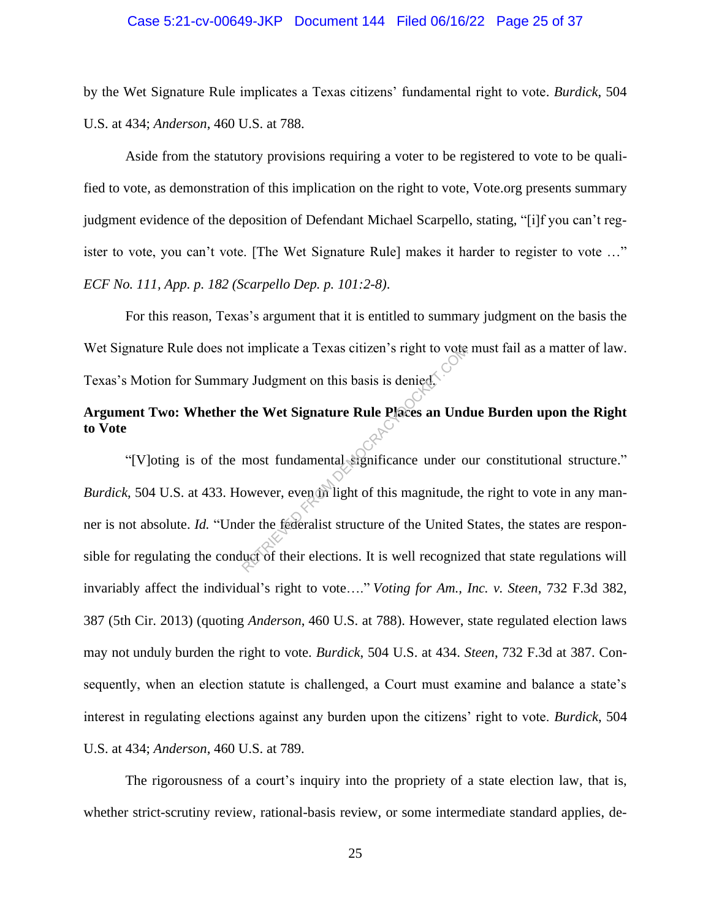## Case 5:21-cv-00649-JKP Document 144 Filed 06/16/22 Page 25 of 37

by the Wet Signature Rule implicates a Texas citizens' fundamental right to vote. *Burdick*, 504 U.S. at 434; *Anderson*, 460 U.S. at 788.

Aside from the statutory provisions requiring a voter to be registered to vote to be qualified to vote, as demonstration of this implication on the right to vote, Vote.org presents summary judgment evidence of the deposition of Defendant Michael Scarpello, stating, "[i]f you can't register to vote, you can't vote. [The Wet Signature Rule] makes it harder to register to vote …" *ECF No. 111, App. p. 182 (Scarpello Dep. p. 101:2-8)*.

For this reason, Texas's argument that it is entitled to summary judgment on the basis the Wet Signature Rule does not implicate a Texas citizen's right to vote must fail as a matter of law. Texas's Motion for Summary Judgment on this basis is denied.

# **Argument Two: Whether the Wet Signature Rule Places an Undue Burden upon the Right to Vote**

"[V]oting is of the most fundamental significance under our constitutional structure." *Burdick*, 504 U.S. at 433. However, even in light of this magnitude, the right to vote in any manner is not absolute. *Id.* "Under the federalist structure of the United States, the states are responsible for regulating the conduct of their elections. It is well recognized that state regulations will invariably affect the individual's right to vote…." *Voting for Am., Inc. v. Steen*, 732 F.3d 382, 387 (5th Cir. 2013) (quoting *Anderson*, 460 U.S. at 788). However, state regulated election laws may not unduly burden the right to vote. *Burdick*, 504 U.S. at 434. *Steen*, 732 F.3d at 387. Consequently, when an election statute is challenged, a Court must examine and balance a state's interest in regulating elections against any burden upon the citizens' right to vote. *Burdick*, 504 U.S. at 434; *Anderson*, 460 U.S. at 789. reflexation of this basis is denied.<br>
The Wet Signature Rule Places an Und<br>
most fundamental significance under of<br>
most fundamental significance under of<br>
owever, even the light of this magnitude,<br>
ler the federalist stru

The rigorousness of a court's inquiry into the propriety of a state election law, that is, whether strict-scrutiny review, rational-basis review, or some intermediate standard applies, de-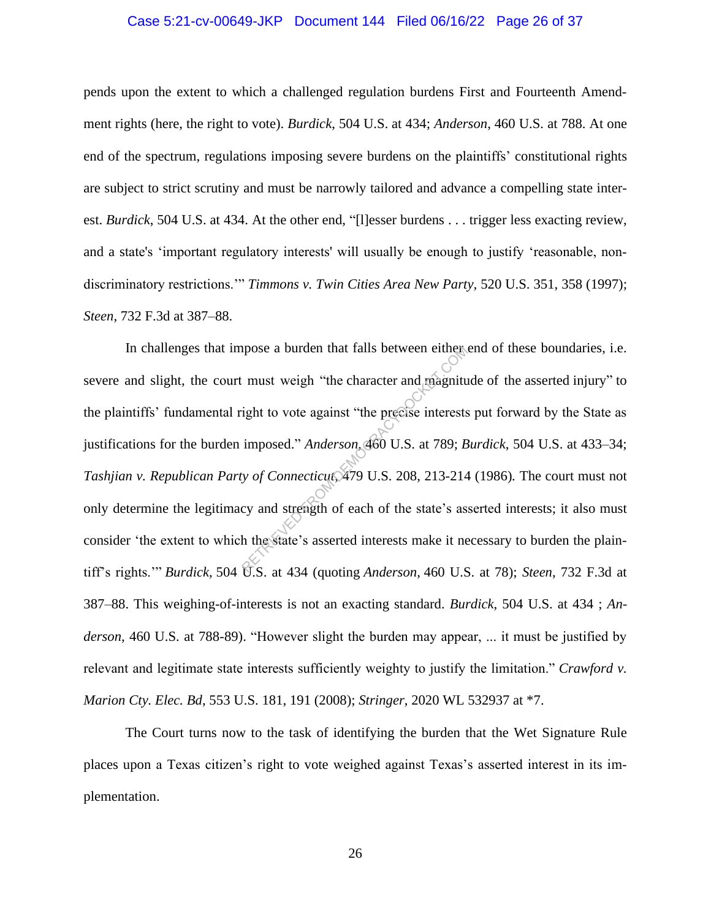## Case 5:21-cv-00649-JKP Document 144 Filed 06/16/22 Page 26 of 37

pends upon the extent to which a challenged regulation burdens First and Fourteenth Amendment rights (here, the right to vote). *Burdick*, 504 U.S. at 434; *Anderson*, 460 U.S. at 788. At one end of the spectrum, regulations imposing severe burdens on the plaintiffs' constitutional rights are subject to strict scrutiny and must be narrowly tailored and advance a compelling state interest. *Burdick*, 504 U.S. at 434. At the other end, "[l]esser burdens . . . trigger less exacting review, and a state's 'important regulatory interests' will usually be enough to justify 'reasonable, nondiscriminatory restrictions.'" *Timmons v. Twin Cities Area New Party,* 520 U.S. 351, 358 (1997); *Steen*, 732 F.3d at 387–88.

In challenges that impose a burden that falls between either end of these boundaries, i.e. severe and slight, the court must weigh "the character and magnitude of the asserted injury" to the plaintiffs' fundamental right to vote against "the precise interests put forward by the State as justifications for the burden imposed." *Anderson*, 460 U.S. at 789; *Burdick*, 504 U.S. at 433–34; *Tashjian v. Republican Party of Connecticut*, 479 U.S. 208, 213-214 (1986)*.* The court must not only determine the legitimacy and strength of each of the state's asserted interests; it also must consider 'the extent to which the state's asserted interests make it necessary to burden the plaintiff's rights.'" *Burdick,* 504 U.S. at 434 (quoting *Anderson,* 460 U.S. at 78); *Steen*, 732 F.3d at 387–88. This weighing-of-interests is not an exacting standard. *Burdick*, 504 U.S. at 434 ; *Anderson*, 460 U.S. at 788-89). "However slight the burden may appear, ... it must be justified by relevant and legitimate state interests sufficiently weighty to justify the limitation." *Crawford v. Marion Cty. Elec. Bd*, 553 U.S. 181, 191 (2008); *Stringer*, 2020 WL 532937 at \*7. pose a burden that falls between either<br>
i must weigh "the character and magnitured<br>
ight to vote against "the precise interests<br>
imposed." Anderson 460 U.S. at 789; B<br>
y of Connecticut, 479 U.S. 208, 213-214<br>
cy and stren

The Court turns now to the task of identifying the burden that the Wet Signature Rule places upon a Texas citizen's right to vote weighed against Texas's asserted interest in its implementation.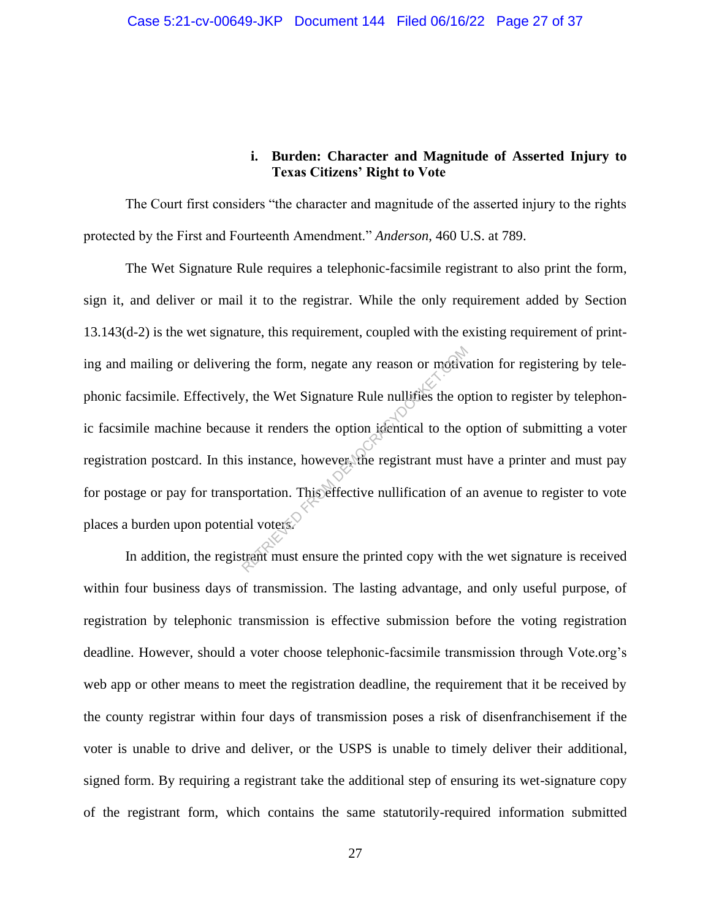# **i. Burden: Character and Magnitude of Asserted Injury to Texas Citizens' Right to Vote**

The Court first considers "the character and magnitude of the asserted injury to the rights protected by the First and Fourteenth Amendment." *Anderson*, 460 U.S. at 789.

The Wet Signature Rule requires a telephonic-facsimile registrant to also print the form, sign it, and deliver or mail it to the registrar. While the only requirement added by Section 13.143(d-2) is the wet signature, this requirement, coupled with the existing requirement of printing and mailing or delivering the form, negate any reason or motivation for registering by telephonic facsimile. Effectively, the Wet Signature Rule nullifies the option to register by telephonic facsimile machine because it renders the option identical to the option of submitting a voter registration postcard. In this instance, however, the registrant must have a printer and must pay for postage or pay for transportation. This effective nullification of an avenue to register to vote places a burden upon potential voters. reposed to the Wet Signature Rule nullifies the option<br>of the Wet Signature Rule nullifies the option<br>of the complete term of the sinustical to the term<br>instance, however, the registrant must loor<br>tation. This effective nu

In addition, the registrant must ensure the printed copy with the wet signature is received within four business days of transmission. The lasting advantage, and only useful purpose, of registration by telephonic transmission is effective submission before the voting registration deadline. However, should a voter choose telephonic-facsimile transmission through Vote.org's web app or other means to meet the registration deadline, the requirement that it be received by the county registrar within four days of transmission poses a risk of disenfranchisement if the voter is unable to drive and deliver, or the USPS is unable to timely deliver their additional, signed form. By requiring a registrant take the additional step of ensuring its wet-signature copy of the registrant form, which contains the same statutorily-required information submitted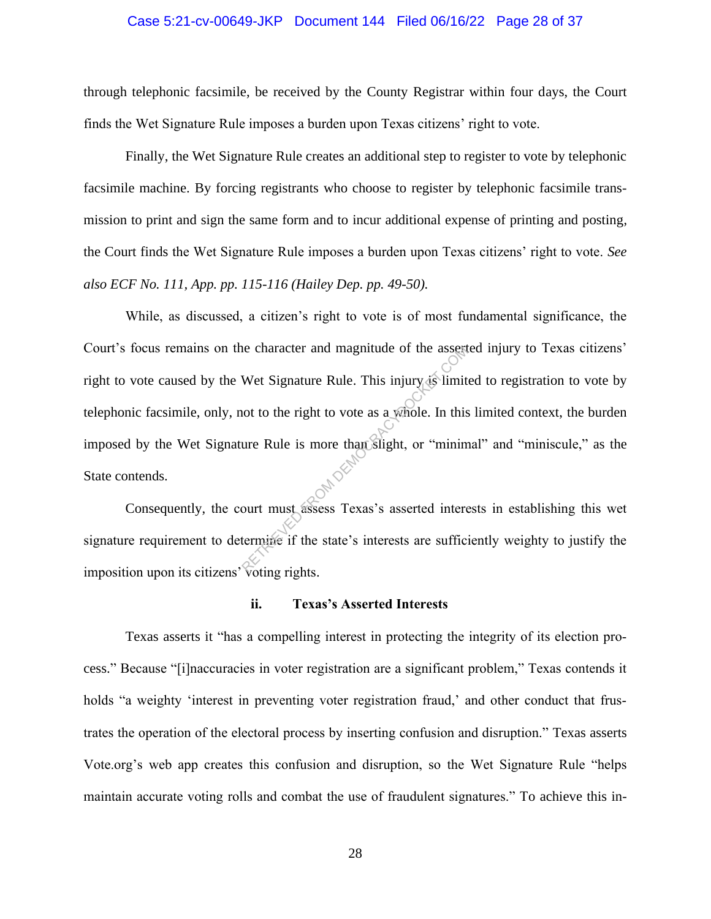## Case 5:21-cv-00649-JKP Document 144 Filed 06/16/22 Page 28 of 37

through telephonic facsimile, be received by the County Registrar within four days, the Court finds the Wet Signature Rule imposes a burden upon Texas citizens' right to vote.

Finally, the Wet Signature Rule creates an additional step to register to vote by telephonic facsimile machine. By forcing registrants who choose to register by telephonic facsimile transmission to print and sign the same form and to incur additional expense of printing and posting, the Court finds the Wet Signature Rule imposes a burden upon Texas citizens' right to vote. *See also ECF No. 111, App. pp. 115-116 (Hailey Dep. pp. 49-50).*

While, as discussed, a citizen's right to vote is of most fundamental significance, the Court's focus remains on the character and magnitude of the asserted injury to Texas citizens' right to vote caused by the Wet Signature Rule. This injury is limited to registration to vote by telephonic facsimile, only, not to the right to vote as a whole. In this limited context, the burden imposed by the Wet Signature Rule is more than slight, or "minimal" and "miniscule," as the State contends. Reflection and magnitude of the assert<br>Wet Signature Rule. This injury is limit<br>not to the right to vote as a whole. In this<br>ure Rule is more than slight, or "minim<br>wourt must assess Texas's asserted inter-<br>termine if the

Consequently, the court must assess Texas's asserted interests in establishing this wet signature requirement to determine if the state's interests are sufficiently weighty to justify the imposition upon its citizens' voting rights.

## **ii. Texas's Asserted Interests**

Texas asserts it "has a compelling interest in protecting the integrity of its election process." Because "[i]naccuracies in voter registration are a significant problem," Texas contends it holds "a weighty 'interest in preventing voter registration fraud,' and other conduct that frustrates the operation of the electoral process by inserting confusion and disruption." Texas asserts Vote.org's web app creates this confusion and disruption, so the Wet Signature Rule "helps maintain accurate voting rolls and combat the use of fraudulent signatures." To achieve this in-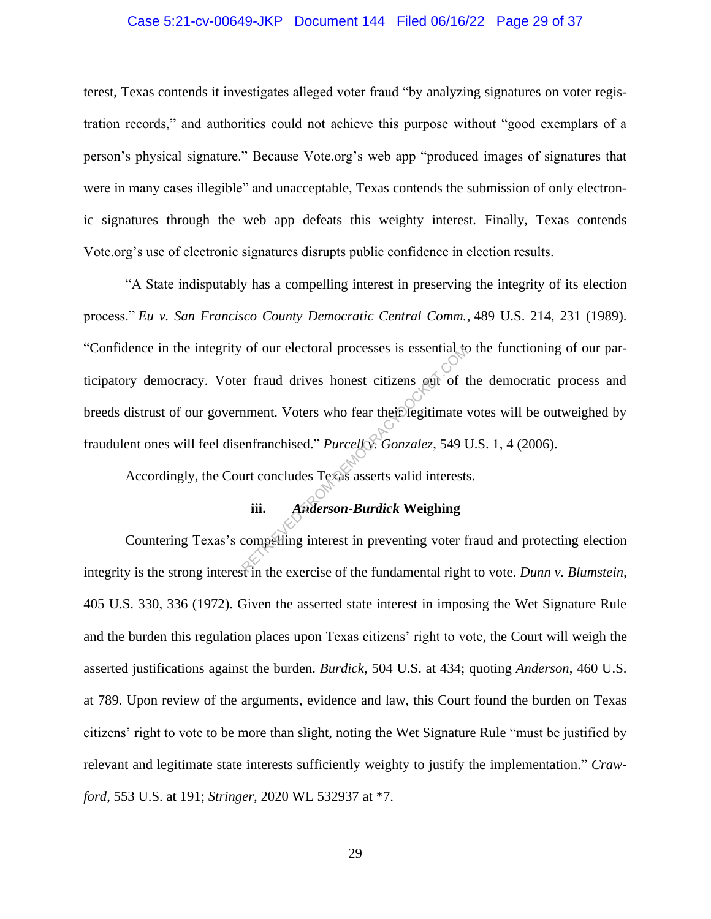## Case 5:21-cv-00649-JKP Document 144 Filed 06/16/22 Page 29 of 37

terest, Texas contends it investigates alleged voter fraud "by analyzing signatures on voter registration records," and authorities could not achieve this purpose without "good exemplars of a person's physical signature." Because Vote.org's web app "produced images of signatures that were in many cases illegible" and unacceptable, Texas contends the submission of only electronic signatures through the web app defeats this weighty interest. Finally, Texas contends Vote.org's use of electronic signatures disrupts public confidence in election results.

"A State indisputably has a compelling interest in preserving the integrity of its election process." *Eu v. San Francisco County Democratic Central Comm.*, 489 U.S. 214, 231 (1989). "Confidence in the integrity of our electoral processes is essential to the functioning of our participatory democracy. Voter fraud drives honest citizens out of the democratic process and breeds distrust of our government. Voters who fear their legitimate votes will be outweighed by fraudulent ones will feel disenfranchised." *Purcell v. Gonzalez*, 549 U.S. 1, 4 (2006). of our electoral processes is essential to<br>
r fraud drives honest citizens out of t<br>
nment. Voters who fear their legitimate<br>
enfranchised." Purcelly: Gonzalez, 549 U<br>
urt concludes Texas asserts valid interests<br>
iii. Ande

Accordingly, the Court concludes Texas asserts valid interests.

# **iii.** *Anderson-Burdick* **Weighing**

Countering Texas's compelling interest in preventing voter fraud and protecting election integrity is the strong interest in the exercise of the fundamental right to vote. *Dunn v. Blumstein*, 405 U.S. 330, 336 (1972). Given the asserted state interest in imposing the Wet Signature Rule and the burden this regulation places upon Texas citizens' right to vote, the Court will weigh the asserted justifications against the burden. *Burdick*, 504 U.S. at 434; quoting *Anderson*, 460 U.S. at 789. Upon review of the arguments, evidence and law, this Court found the burden on Texas citizens' right to vote to be more than slight, noting the Wet Signature Rule "must be justified by relevant and legitimate state interests sufficiently weighty to justify the implementation." *Crawford*, 553 U.S. at 191; *Stringer*, 2020 WL 532937 at \*7.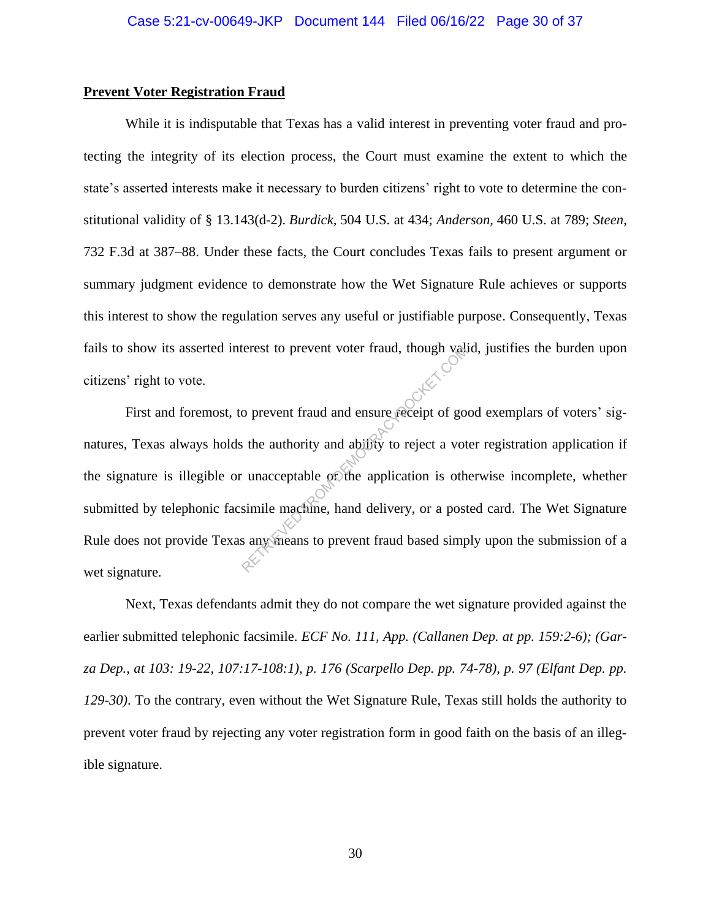## **Prevent Voter Registration Fraud**

While it is indisputable that Texas has a valid interest in preventing voter fraud and protecting the integrity of its election process, the Court must examine the extent to which the state's asserted interests make it necessary to burden citizens' right to vote to determine the constitutional validity of § 13.143(d-2). *Burdick,* 504 U.S. at 434; *Anderson,* 460 U.S. at 789; *Steen*, 732 F.3d at 387–88. Under these facts, the Court concludes Texas fails to present argument or summary judgment evidence to demonstrate how the Wet Signature Rule achieves or supports this interest to show the regulation serves any useful or justifiable purpose. Consequently, Texas fails to show its asserted interest to prevent voter fraud, though valid, justifies the burden upon citizens' right to vote.

First and foremost, to prevent fraud and ensure receipt of good exemplars of voters' signatures, Texas always holds the authority and ability to reject a voter registration application if the signature is illegible or unacceptable or the application is otherwise incomplete, whether submitted by telephonic facsimile machine, hand delivery, or a posted card. The Wet Signature Rule does not provide Texas any means to prevent fraud based simply upon the submission of a wet signature. Exercise to prevent voter fraud, though values<br>of prevent fraud and ensure receipt of gots<br>is the authority and ability to reject a voter unacceptable of the application is oth<br>simile mackine, hand delivery, or a post<br>sany

Next, Texas defendants admit they do not compare the wet signature provided against the earlier submitted telephonic facsimile. *ECF No. 111, App. (Callanen Dep. at pp. 159:2-6); (Garza Dep., at 103: 19-22, 107:17-108:1), p. 176 (Scarpello Dep. pp. 74-78), p. 97 (Elfant Dep. pp. 129-30)*. To the contrary, even without the Wet Signature Rule, Texas still holds the authority to prevent voter fraud by rejecting any voter registration form in good faith on the basis of an illegible signature.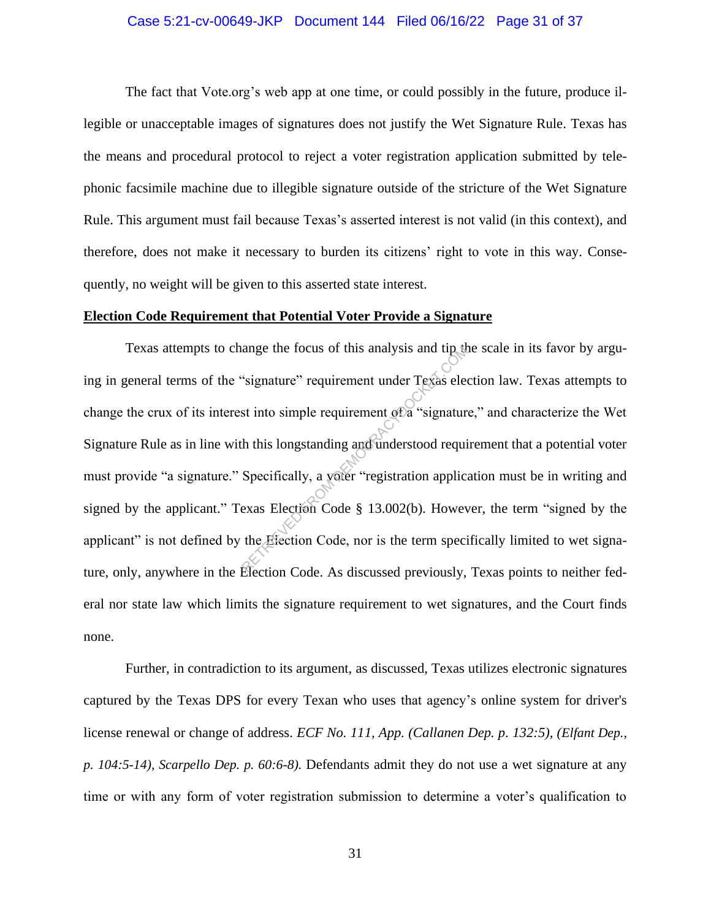# Case 5:21-cv-00649-JKP Document 144 Filed 06/16/22 Page 31 of 37

The fact that Vote.org's web app at one time, or could possibly in the future, produce illegible or unacceptable images of signatures does not justify the Wet Signature Rule. Texas has the means and procedural protocol to reject a voter registration application submitted by telephonic facsimile machine due to illegible signature outside of the stricture of the Wet Signature Rule. This argument must fail because Texas's asserted interest is not valid (in this context), and therefore, does not make it necessary to burden its citizens' right to vote in this way. Consequently, no weight will be given to this asserted state interest.

## **Election Code Requirement that Potential Voter Provide a Signature**

Texas attempts to change the focus of this analysis and tip the scale in its favor by arguing in general terms of the "signature" requirement under Texas election law. Texas attempts to change the crux of its interest into simple requirement of a "signature," and characterize the Wet Signature Rule as in line with this longstanding and understood requirement that a potential voter must provide "a signature." Specifically, a voter "registration application must be in writing and signed by the applicant." Texas Election Code § 13.002(b). However, the term "signed by the applicant" is not defined by the Election Code, nor is the term specifically limited to wet signature, only, anywhere in the Election Code. As discussed previously, Texas points to neither federal nor state law which limits the signature requirement to wet signatures, and the Court finds none. ange the focus of this analysis and tip at<br>
"signature" requirement under Texas electric<br>
st into simple requirement of a "signatur<br>
th this longstanding and understood requirement<br>
Specifically, a voter "registration appl

Further, in contradiction to its argument, as discussed, Texas utilizes electronic signatures captured by the Texas DPS for every Texan who uses that agency's online system for driver's license renewal or change of address. *ECF No. 111, App. (Callanen Dep. p. 132:5), (Elfant Dep., p. 104:5-14), Scarpello Dep. p. 60:6-8).* Defendants admit they do not use a wet signature at any time or with any form of voter registration submission to determine a voter's qualification to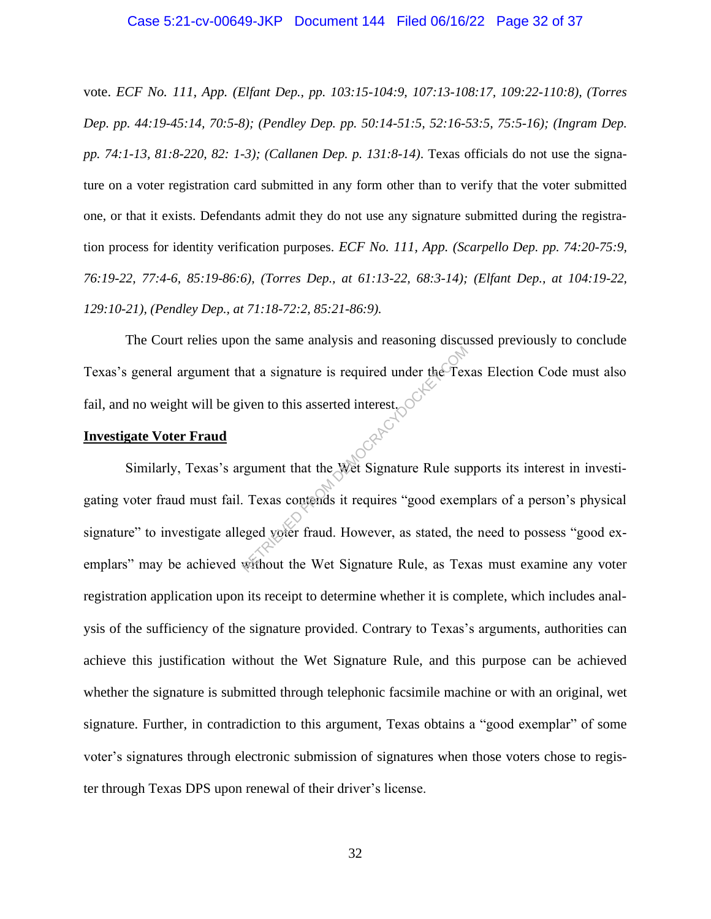vote. *ECF No. 111, App. (Elfant Dep., pp. 103:15-104:9, 107:13-108:17, 109:22-110:8), (Torres Dep. pp. 44:19-45:14, 70:5-8); (Pendley Dep. pp. 50:14-51:5, 52:16-53:5, 75:5-16); (Ingram Dep. pp. 74:1-13, 81:8-220, 82: 1-3); (Callanen Dep. p. 131:8-14)*. Texas officials do not use the signature on a voter registration card submitted in any form other than to verify that the voter submitted one, or that it exists. Defendants admit they do not use any signature submitted during the registration process for identity verification purposes. *ECF No. 111, App. (Scarpello Dep. pp. 74:20-75:9, 76:19-22, 77:4-6, 85:19-86:6), (Torres Dep., at 61:13-22, 68:3-14); (Elfant Dep., at 104:19-22, 129:10-21), (Pendley Dep., at 71:18-72:2, 85:21-86:9).*

The Court relies upon the same analysis and reasoning discussed previously to conclude Texas's general argument that a signature is required under the Texas Election Code must also fail, and no weight will be given to this asserted interest.

## **Investigate Voter Fraud**

Similarly, Texas's argument that the Wet Signature Rule supports its interest in investigating voter fraud must fail. Texas contends it requires "good exemplars of a person's physical signature" to investigate alleged voter fraud. However, as stated, the need to possess "good exemplars" may be achieved without the Wet Signature Rule, as Texas must examine any voter registration application upon its receipt to determine whether it is complete, which includes analysis of the sufficiency of the signature provided. Contrary to Texas's arguments, authorities can achieve this justification without the Wet Signature Rule, and this purpose can be achieved whether the signature is submitted through telephonic facsimile machine or with an original, wet signature. Further, in contradiction to this argument, Texas obtains a "good exemplar" of some voter's signatures through electronic submission of signatures when those voters chose to register through Texas DPS upon renewal of their driver's license. at a signature is required under the Text<br>iven to this asserted interest.<br>regument that the Wet Signature Rule sup.<br>Texas contends it requires "good exemeted voter fraud. However, as stated, the<br>without the Wet Signature R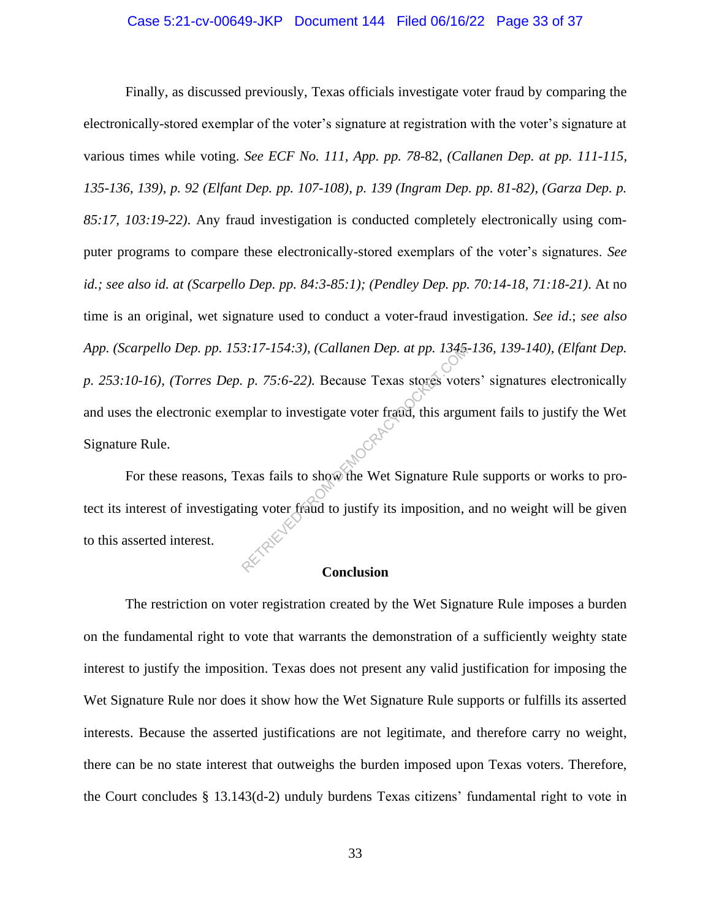# Case 5:21-cv-00649-JKP Document 144 Filed 06/16/22 Page 33 of 37

Finally, as discussed previously, Texas officials investigate voter fraud by comparing the electronically-stored exemplar of the voter's signature at registration with the voter's signature at various times while voting. *See ECF No. 111, App. pp. 78-*82, *(Callanen Dep. at pp. 111-115, 135-136, 139), p. 92 (Elfant Dep. pp. 107-108), p. 139 (Ingram Dep. pp. 81-82), (Garza Dep. p. 85:17, 103:19-22)*. Any fraud investigation is conducted completely electronically using computer programs to compare these electronically-stored exemplars of the voter's signatures. *See id.; see also id. at (Scarpello Dep. pp. 84:3-85:1); (Pendley Dep. pp. 70:14-18, 71:18-21)*. At no time is an original, wet signature used to conduct a voter-fraud investigation. *See id*.; *see also App. (Scarpello Dep. pp. 153:17-154:3), (Callanen Dep. at pp. 1345-136, 139-140), (Elfant Dep. p. 253:10-16), (Torres Dep. p. 75:6-22).* Because Texas stores voters' signatures electronically and uses the electronic exemplar to investigate voter fraud, this argument fails to justify the Wet Signature Rule.  $2.17-154:3$ , (Callanen Dep. at pp. 1345, p. 75:6-22). Because Texas stores vote<br>pplar to investigate voter fraud, this argued with the state of the Wet Signature Ru ing voter fraud to justify its imposition,

For these reasons, Texas fails to show the Wet Signature Rule supports or works to protect its interest of investigating voter fraud to justify its imposition, and no weight will be given to this asserted interest.

# **Conclusion**

The restriction on voter registration created by the Wet Signature Rule imposes a burden on the fundamental right to vote that warrants the demonstration of a sufficiently weighty state interest to justify the imposition. Texas does not present any valid justification for imposing the Wet Signature Rule nor does it show how the Wet Signature Rule supports or fulfills its asserted interests. Because the asserted justifications are not legitimate, and therefore carry no weight, there can be no state interest that outweighs the burden imposed upon Texas voters. Therefore, the Court concludes § 13.143(d-2) unduly burdens Texas citizens' fundamental right to vote in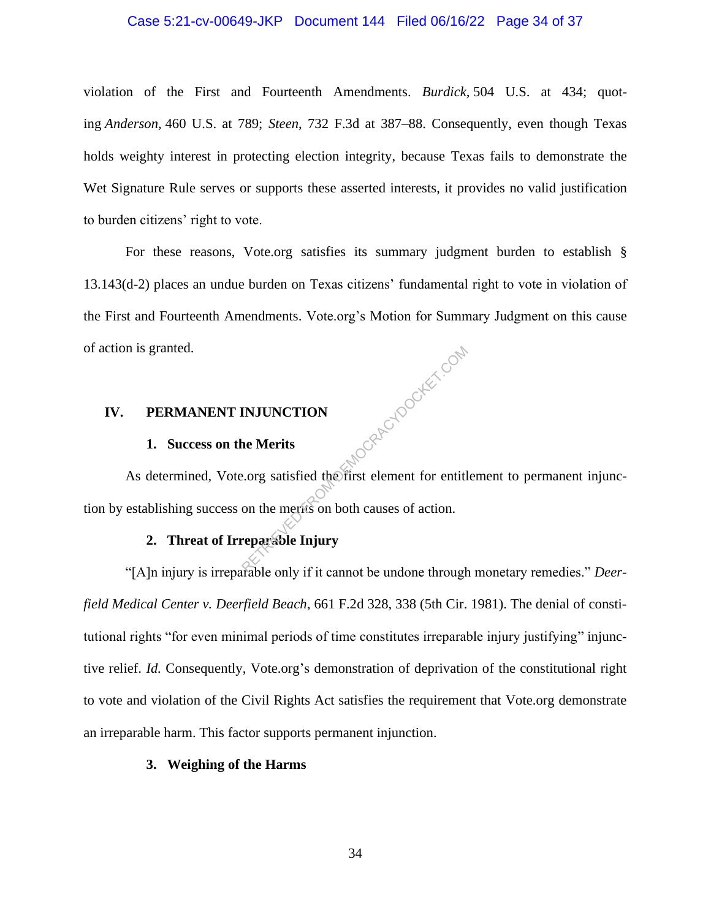## Case 5:21-cv-00649-JKP Document 144 Filed 06/16/22 Page 34 of 37

violation of the First and Fourteenth Amendments. *Burdick,* 504 U.S. at 434; quoting *Anderson,* 460 U.S. at 789; *Steen*, 732 F.3d at 387–88. Consequently, even though Texas holds weighty interest in protecting election integrity, because Texas fails to demonstrate the Wet Signature Rule serves or supports these asserted interests, it provides no valid justification to burden citizens' right to vote.

For these reasons, Vote.org satisfies its summary judgment burden to establish § 13.143(d-2) places an undue burden on Texas citizens' fundamental right to vote in violation of the First and Fourteenth Amendments. Vote.org's Motion for Summary Judgment on this cause of action is granted. LGRAFOOLKET.COM

# **IV. PERMANENT INJUNCTION**

## **1. Success on the Merits**

As determined, Vote.org satisfied the first element for entitlement to permanent injunction by establishing success on the merits on both causes of action.

# **2. Threat of Irreparable Injury**

"[A]n injury is irreparable only if it cannot be undone through monetary remedies." *Deerfield Medical Center v. Deerfield Beach*, 661 F.2d 328, 338 (5th Cir. 1981). The denial of constitutional rights "for even minimal periods of time constitutes irreparable injury justifying" injunctive relief. *Id.* Consequently, Vote.org's demonstration of deprivation of the constitutional right to vote and violation of the Civil Rights Act satisfies the requirement that Vote.org demonstrate an irreparable harm. This factor supports permanent injunction.

## **3. Weighing of the Harms**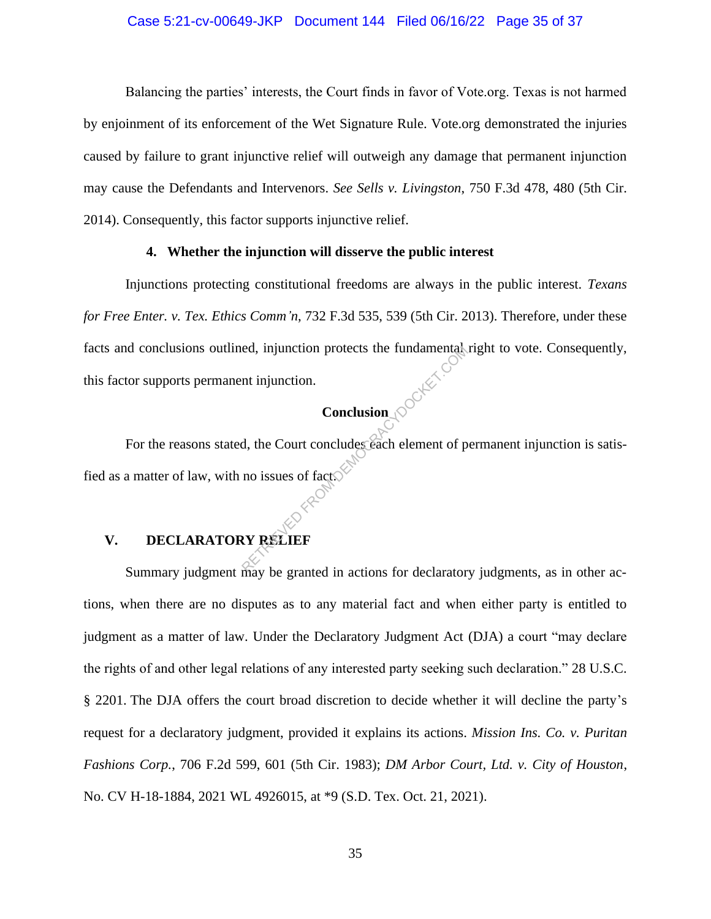## Case 5:21-cv-00649-JKP Document 144 Filed 06/16/22 Page 35 of 37

Balancing the parties' interests, the Court finds in favor of Vote.org. Texas is not harmed by enjoinment of its enforcement of the Wet Signature Rule. Vote.org demonstrated the injuries caused by failure to grant injunctive relief will outweigh any damage that permanent injunction may cause the Defendants and Intervenors. *See Sells v. Livingston*, 750 F.3d 478, 480 (5th Cir. 2014). Consequently, this factor supports injunctive relief.

# **4. Whether the injunction will disserve the public interest**

Injunctions protecting constitutional freedoms are always in the public interest. *Texans for Free Enter. v. Tex. Ethics Comm'n*, 732 F.3d 535, 539 (5th Cir. 2013). Therefore, under these facts and conclusions outlined, injunction protects the fundamental right to vote. Consequently, this factor supports permanent injunction.

# **Conclusion**

For the reasons stated, the Court concludes each element of permanent injunction is satisfied as a matter of law, with no issues of fact. ed, injunction protects the fundamental<br>
nt injunction.<br>
Conclusion<br>
d, the Court concludes each element of p<br>
no issues of fact.

# **V. DECLARATORY RELIEF**

Summary judgment may be granted in actions for declaratory judgments, as in other actions, when there are no disputes as to any material fact and when either party is entitled to judgment as a matter of law. Under the Declaratory Judgment Act (DJA) a court "may declare the rights of and other legal relations of any interested party seeking such declaration." 28 U.S.C. § 2201. The DJA offers the court broad discretion to decide whether it will decline the party's request for a declaratory judgment, provided it explains its actions. *Mission Ins. Co. v. Puritan Fashions Corp.*, 706 F.2d 599, 601 (5th Cir. 1983); *DM Arbor Court, Ltd. v. City of Houston*, No. CV H-18-1884, 2021 WL 4926015, at \*9 (S.D. Tex. Oct. 21, 2021).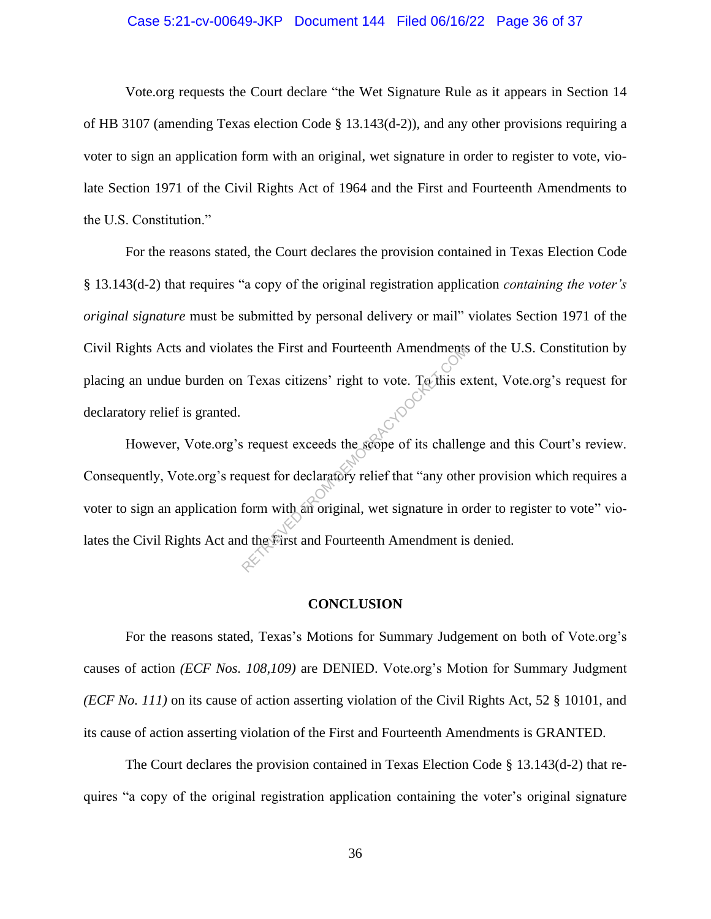## Case 5:21-cv-00649-JKP Document 144 Filed 06/16/22 Page 36 of 37

Vote.org requests the Court declare "the Wet Signature Rule as it appears in Section 14 of HB 3107 (amending Texas election Code  $\S$  13.143(d-2)), and any other provisions requiring a voter to sign an application form with an original, wet signature in order to register to vote, violate Section 1971 of the Civil Rights Act of 1964 and the First and Fourteenth Amendments to the U.S. Constitution."

For the reasons stated, the Court declares the provision contained in Texas Election Code § 13.143(d-2) that requires "a copy of the original registration application *containing the voter's original signature* must be submitted by personal delivery or mail" violates Section 1971 of the Civil Rights Acts and violates the First and Fourteenth Amendments of the U.S. Constitution by placing an undue burden on Texas citizens' right to vote. To this extent, Vote.org's request for declaratory relief is granted.

However, Vote.org's request exceeds the scope of its challenge and this Court's review. Consequently, Vote.org's request for declaratory relief that "any other provision which requires a voter to sign an application form with an original, wet signature in order to register to vote" violates the Civil Rights Act and the First and Fourteenth Amendment is denied. RETRIEVED FIRST AND HOURGANDER TEXAS citizens' right to vote. To this expect the set of the set of the set of the set of the set of the set of the set of the set of the set of the form with an original, wet signature in or

#### **CONCLUSION**

For the reasons stated, Texas's Motions for Summary Judgement on both of Vote.org's causes of action *(ECF Nos. 108,109)* are DENIED. Vote.org's Motion for Summary Judgment *(ECF No. 111)* on its cause of action asserting violation of the Civil Rights Act, 52 § 10101, and its cause of action asserting violation of the First and Fourteenth Amendments is GRANTED.

The Court declares the provision contained in Texas Election Code § 13.143(d-2) that requires "a copy of the original registration application containing the voter's original signature